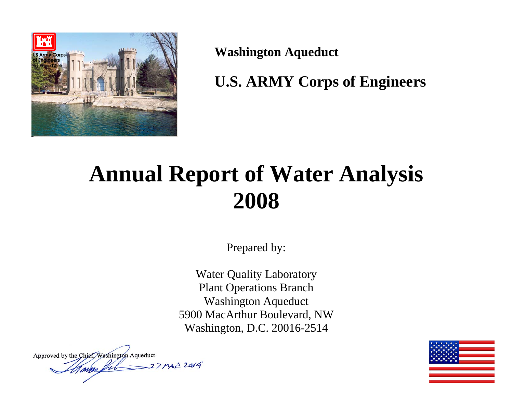

**Washington Aqueduct** 

**U.S. ARMY Corps of Engineers** 

# **Annual Report of Water Analysis 2008**

Prepared by:

Water Quality Laboratory Plant Operations Branch Washington Aqueduct 5900 MacArthur Boulevard, NW Washington, D.C. 20016-2514

Approved by the Chief, Washington Aqueduct Man ful 37 MAZ 2009

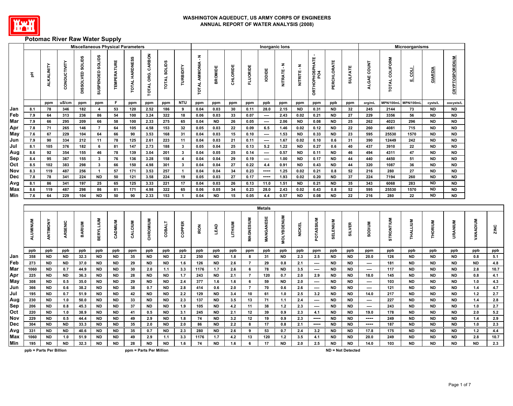

# **Potomac River Raw Water Supply**

|            |                         |                        |              |                  | <b>Miscellaneous Physical Parameters</b> |                        |                |                         |                               |                              |                                    |                  |            |                     |                 | Inorganic lons    |                        |                                 |                        |                          |                       |                | Microorganisms         |                        |                        |                 |                  |
|------------|-------------------------|------------------------|--------------|------------------|------------------------------------------|------------------------|----------------|-------------------------|-------------------------------|------------------------------|------------------------------------|------------------|------------|---------------------|-----------------|-------------------|------------------------|---------------------------------|------------------------|--------------------------|-----------------------|----------------|------------------------|------------------------|------------------------|-----------------|------------------|
|            | 玉                       | ALKALINITY             | CONDUCTIVITY | DISSOLVED SOLIDS | SUSPENDED SOLIDS                         | щ<br><b>TEMPERATUR</b> | TOTAL HARDNESS | TOTAL ORG. CARBON       | <b>SOLIDS</b><br><b>TOTAL</b> | TURBIDITY                    | $\sum_{i}$<br><b>TOTAL AMMONIA</b> | <b>BROMIDE</b>   | CHLORIDE   | <b>FLUORIDE</b>     | <b>IODIDE</b>   | NITRATE-N         | NITRITE-N              | <b>ORTHOPHOSPHATE</b><br>PO4    | PERCHLORATE            | <b>SULFATE</b>           | <b>COUNT</b><br>ALGAE | TOTAL COLIFORM | <b>E</b> coll          | GIARDIA                | <b>CRYPTOSPORIDIUM</b> |                 |                  |
|            |                         | ppm                    | uS/cm        | ppm              | ppm                                      | F.                     | ppm            | ppm                     | ppm                           | <b>NTU</b>                   | ppm                                | ppm              | ppm        | ppm                 | ppb             | ppm               | ppm                    | ppm                             | ppb                    | ppm                      | org/mL                | MPN/100ml      | MPN/100mL              | cysts/L                | oocysts/L              |                 |                  |
| Jan        | 8.1                     | 78                     | 346          | 182              | $\overline{4}$                           | 53                     | 120            | 2.52                    | 186                           | 9                            | 0.04                               | 0.03             | 30         | 0.11                | 28.0            | 2.15              | <b>ND</b>              | 0.31                            | <b>ND</b>              | 32                       | 245                   | 2144           | 73                     | <b>ND</b>              | <b>ND</b>              |                 |                  |
| Feb        | 7.9                     | 64                     | 313          | 236              | 86                                       | 54                     | 100            | 3.24                    | 322                           | 18                           | 0.06                               | 0.03             | 33         | 0.07                | $\cdots$        | 2.43              | 0.02                   | 0.21                            | <b>ND</b>              | 27                       | 229                   | 3356           | 56                     | <b>ND</b>              | <b>ND</b>              |                 |                  |
| Mar        | 7.9                     | 66                     | 295          | 209              | 66                                       | 58                     | 100            | 2.33                    | 275                           | 65                           | 0.04                               | <b>ND</b>        | 26         | 0.05                | $\cdots$        | 2.06              | <b>ND</b>              | 0.08                            | <b>ND</b>              | 25                       | 262                   | 4023           | 296                    | <b>ND</b>              | <b>ND</b>              |                 |                  |
| Apr        | 7.8                     | 71                     | 265          | 146              | $\overline{7}$                           | 64                     | 105            | 4.58                    | 153                           | 32                           | 0.05                               | 0.03             | 22         | 0.09                | 6.5             | 1.46              | 0.02                   | 0.12                            | ND                     | 22                       | 260                   | 4081           | 715                    | <b>ND</b>              | <b>ND</b>              |                 |                  |
| May        | 7.6                     | 67                     | 229          | 104              | 64                                       | 66                     | 90             | 3.53                    | 168                           | 31                           | 0.04                               | 0.03             | 15         | 0.10                | $\sim$          | 1.53              | <b>ND</b>              | 0.33                            | <b>ND</b>              | 23                       | 595                   | 25530          | 1570                   | <b>ND</b>              | <b>ND</b>              |                 |                  |
| Jun        | 7.9                     | 90                     | 334          | 212              | 11                                       | 78                     | 125            | 2.61                    | 223                           | 11                           | 0.04                               | 0.03             | 21<br>25   | 0.11                | ----            | 1.67              | 0.02                   | 0.10                            | 0.6                    | 31                       | 390                   | 12449          | 242                    | <b>ND</b>              | <b>ND</b><br><b>ND</b> |                 |                  |
| Jul        | 8.1<br>8.6              | 105<br>92              | 376<br>354   | 182<br>155       | 6<br>46                                  | 81<br>78               | 147<br>139     | 2.73<br>3.04            | 188<br>201                    | $\mathbf{3}$<br>$\mathbf{3}$ | 0.05<br>0.04                       | 0.04<br>0.05     | 25         | 0.13<br>0.14        | 5.2<br>$\cdots$ | 1.22<br>0.57      | <b>ND</b><br><b>ND</b> | 0.27<br>0.11                    | 0.6<br><b>ND</b>       | 40<br>46                 | 437<br>494            | 3910<br>4311   | 22<br>47               | <b>ND</b><br><b>ND</b> | <b>ND</b>              |                 |                  |
| Aug<br>Sep | 8.4                     | 95                     | 367          | 155              | $\mathbf{3}$                             | 76                     | 136            | 3.28                    | 158                           | $\overline{4}$               | 0.04                               | 0.04             | 29         | 0.19                | $\sim$          | 1.00              | <b>ND</b>              | 0.17                            | ND                     | 44                       | 440                   | 4450           | 51                     | <b>ND</b>              | <b>ND</b>              |                 |                  |
| Oct        | 8.5                     | 102                    | 383          | 298              | $\mathbf{3}$                             | 66                     | 150            | 4.98                    | 301                           | $\mathbf{3}$                 | 0.04                               | 0.04             | 27         | 0.22                | 4.4             | 0.91              | <b>ND</b>              | 0.43                            | <b>ND</b>              | 44                       | 320                   | 1087           | 36                     | <b>ND</b>              | <b>ND</b>              |                 |                  |
| Nov        | 8.3                     | 119                    | 487          | 256              | $\mathbf{1}$                             | 57                     | 171            | 3.53                    | 257                           | $\overline{1}$               | 0.04                               | 0.04             | 34         | 0.23                | ----            | 1.25              | 0.02                   | 0.21                            | 0.8                    | 52                       | 216                   | 280            | 27                     | <b>ND</b>              | <b>ND</b>              |                 |                  |
| Dec        | 7.8                     | 78                     | 341          | 224              | <b>ND</b>                                | 50                     | 121            | 3.58                    | 224                           | 19                           | 0.05                               | 0.03             | 27         | 0.17                | $\cdots$        | 1.93              | 0.02                   | 0.20                            | <b>ND</b>              | 37                       | 224                   | 7194           | 260                    | <b>ND</b>              | <b>ND</b>              |                 |                  |
| Avg        | 8.1                     | 86                     | 341          | 197              | 25                                       | 65                     | 125            | 3.33                    | 221                           | 17                           | 0.04                               | 0.03             | 26         | 0.13                | 11.0            | 1.51              | <b>ND</b>              | 0.21                            | <b>ND</b>              | 35                       | 343                   | 6068           | 283                    | <b>ND</b>              | <b>ND</b>              |                 |                  |
| Max        | 8.6                     | 119                    | 487          | 298              | 86                                       | 81                     | 171            | 4.98                    | 322                           | 65                           | 0.06                               | 0.05             | 34         | 0.23                | 28.0            | 2.43              | 0.02                   | 0.43                            | 0.8                    | 52                       | 595                   | 25530          | 1570                   | <b>ND</b>              | <b>ND</b>              |                 |                  |
| Min        | 7.6                     | 64                     | 229          | 104              | <b>ND</b>                                | 50                     | 90             | 2.33                    | 153                           | $\overline{1}$               | 0.04                               | <b>ND</b>        | 15         | 0.05                | 4.4             | 0.57              | <b>ND</b>              | 0.08                            | <b>ND</b>              | 22                       | 216                   | 280            | 22                     | <b>ND</b>              | <b>ND</b>              |                 |                  |
|            |                         |                        |              |                  |                                          |                        |                |                         |                               |                              |                                    |                  |            |                     | <b>Metals</b>   |                   |                        |                                 |                        |                          |                       |                |                        |                        |                        |                 |                  |
|            | <b>ALUMINUM</b>         | ANTIMONY               | ARSENIC      | <b>BARIUM</b>    | <b>BERYLLIUM</b>                         | CADMIUM                | CALCIUM        | CHROMIUM                | <b>COBALT</b>                 | <b>COPPER</b>                | <b>RON</b>                         | <b>LEAD</b>      | LITHIUM    | <b>MAGNESIUM</b>    | MANGANESE       | <b>MOLYBDENUM</b> | <b>NICKEL</b>          | POTASSIUM                       | <b>SELENIUM</b>        | <b>SILVER</b>            | <b>NUNGS</b>          | STRONTIUM      | THALLIUM               | <b>THORIUM</b>         | URANIUM                | <b>VANADIUM</b> | ZINC             |
|            | ppb                     | ppb                    | ppb          | ppb              | ppb                                      | ppb                    | ppm            | ppb                     | ppb                           | ppb                          | ppb                                | ppb              | ppb        | ppm                 | ppb             | ppb               | ppb                    | ppm                             | ppb                    | ppb                      | ppm                   | ppb            | ppb                    | ppb                    | ppb                    | ppb             | ppb              |
| Jan        | 358                     | <b>ND</b>              | <b>ND</b>    | 32.3             | <b>ND</b>                                | <b>ND</b>              | 35             | <b>ND</b>               | <b>ND</b>                     | 2.2                          | 250                                | <b>ND</b>        | 1.8        | 8                   | 31              | <b>ND</b>         | 2.3                    | 2.5                             | <b>ND</b>              | <b>ND</b>                | 20.0                  | 126            | <b>ND</b>              | <b>ND</b>              | <b>ND</b>              | 0.8             | 5.1              |
| Feb        | 273                     | <b>ND</b>              | <b>ND</b>    | 37.0             | <b>ND</b>                                | <b>ND</b>              | 29             | <b>ND</b>               | ND                            | 1.6                          | 126                                | <b>ND</b>        | 2.6        | $\overline{7}$      | 29              | 0.8               | 2.1                    | $\overline{\phantom{a}}$        | <b>ND</b>              | ND                       | ----                  | 181            | <b>ND</b>              | <b>ND</b>              | <b>ND</b>              | <b>ND</b>       | 4.8              |
| Mar        | 1060                    | ND                     | 0.7          | 44.9             | <b>ND</b>                                | <b>ND</b>              | 30             | 2.0                     | 1.1                           | 3.3                          | 1176                               | 1.7              | 2.6        | 6                   | 78              | <b>ND</b>         | 3.5                    | $\overline{\phantom{a}}$        | <b>ND</b>              | ND                       | ----                  | 117            | <b>ND</b>              | ND                     | <b>ND</b>              | 2.8             | 10.7             |
| Apr        | 225                     | <b>ND</b>              | <b>ND</b>    | 36.3             | <b>ND</b>                                | <b>ND</b>              | 28             | <b>ND</b>               | <b>ND</b>                     | 1.7                          | 243                                | <b>ND</b>        | 2.1        | $\overline{7}$      | 120             | 0.7               | 2.0                    | 2.9                             | <b>ND</b>              | <b>ND</b>                | 18.0                  | 145            | <b>ND</b>              | <b>ND</b>              | <b>ND</b>              | 0.8             | 4.1              |
| May        | 308                     | <b>ND</b>              | 0.5          | 35.0             | <b>ND</b>                                | <b>ND</b>              | 29             | <b>ND</b>               | <b>ND</b>                     | 2.4                          | 377                                | 1.6              | 1.6        | 6<br>$\overline{7}$ | 59              | <b>ND</b>         | 2.0                    | ----                            | <b>ND</b>              | <b>ND</b>                | ----                  | 103            | <b>ND</b>              | <b>ND</b>              | <b>ND</b>              | 1.0             | 4.3              |
| Jun<br>Jul | 366<br>195              | <b>ND</b><br><b>ND</b> | 0.6          | 38.2             | <b>ND</b><br><b>ND</b>                   | <b>ND</b>              | 38<br>42       | 0.7<br><b>ND</b>        | <b>ND</b><br><b>ND</b>        | 2.8                          | 414<br>129                         | 0.6<br><b>ND</b> | 2.0<br>3.4 |                     | 70<br>61        | 0.6<br>1.0        | 2.6<br>2.5             | $\overline{\phantom{a}}$<br>3.2 | <b>ND</b><br><b>ND</b> | <b>ND</b><br><b>ND</b>   | ----                  | 121            | <b>ND</b><br><b>ND</b> | <b>ND</b><br><b>ND</b> | <b>ND</b><br><b>ND</b> | $1.4$<br>$1.2$  | 4.7<br>2.7       |
| Aug        | 230                     | <b>ND</b>              | 0.7<br>1.0   | 51.9<br>50.0     | <b>ND</b>                                | <b>ND</b><br><b>ND</b> | 33             | <b>ND</b>               | <b>ND</b>                     | 2.2<br>2.3                   | 137                                | <b>ND</b>        | $3.5\,$    | 10<br>13            | 71              | $1.1$             | 2.4                    | $\sim$                          | <b>ND</b>              | <b>ND</b>                | 14.0<br>----          | 217<br>227     | <b>ND</b>              | <b>ND</b>              | <b>ND</b>              | $1.4$           | $2.8$            |
| Sep        | 206                     | <b>ND</b>              | 0.8          | 45.3             | <b>ND</b>                                | <b>ND</b>              | 37             | <b>ND</b>               | <b>ND</b>                     | 1.9                          | 105                                | <b>ND</b>        | 4.2        | 11                  | 38              | 1.2               | 2.3                    | $\overline{\phantom{a}}$        | <b>ND</b>              | <b>ND</b>                | ----                  | 243            | <b>ND</b>              | <b>ND</b>              | <b>ND</b>              | 1.0             | $2.7\,$          |
| Oct        | 220                     | <b>ND</b>              | 1.0          | 38.9             | <b>ND</b>                                | <b>ND</b>              | 41             | 0.5                     | ND                            | 3.1                          | 245                                | <b>ND</b>        | 2.1        | 12                  | 39              | 0.9               | 2.3                    | 4.1                             | <b>ND</b>              | ND                       | 19.0                  | 178            | <b>ND</b>              | ND                     | <b>ND</b>              | 2.0             | $5.2\,$          |
| Nov        | 229                     | <b>ND</b>              | 0.5          | 44.4             | <b>ND</b>                                | <b>ND</b>              | 49             | 2.9                     | <b>ND</b>                     | 1.8                          | 74                                 | <b>ND</b>        | 3.2        | 12                  | 19              | 0.9               | 2.3                    | ----                            | <b>ND</b>              | <b>ND</b>                | $\cdots$              | 249            | <b>ND</b>              | <b>ND</b>              | <b>ND</b>              | 1.4             | 2.9              |
| Dec        | 304                     | <b>ND</b>              | <b>ND</b>    | 33.3             | <b>ND</b>                                | <b>ND</b>              | 35             | 2.0                     | <b>ND</b>                     | 2.0                          | 86                                 | <b>ND</b>        | 2.2        | 8                   | 17              | 0.8               | 2.1                    | $\cdots$                        | <b>ND</b>              | <b>ND</b>                | $\frac{1}{2}$         | 187            | <b>ND</b>              | <b>ND</b>              | <b>ND</b>              | 1.0             | $\overline{2.3}$ |
| Avg        | 331                     | <b>ND</b>              | <b>ND</b>    | 40.6             | <b>ND</b>                                | <b>ND</b>              | 35             | 0.7                     | <b>ND</b>                     | 2.3                          | 280                                | <b>ND</b>        | 2.6        | 9                   | 53              | 0.7               | 2.4                    | 3.2                             | <b>ND</b>              | <b>ND</b>                | 17.8                  | 175            | <b>ND</b>              | <b>ND</b>              | <b>ND</b>              | $1.2$           | 4.4              |
| Max        | 1060                    | <b>ND</b>              | 1.0          | 51.9             | <b>ND</b>                                | <b>ND</b>              | 49             | 2.9                     | 1.1                           | 3.3                          | 1176                               | 1.7              | 4.2        | 13                  | 120             | $1.2$             | 3.5                    | 4.1                             | <b>ND</b>              | <b>ND</b>                | 20.0                  | 249            | <b>ND</b>              | <b>ND</b>              | <b>ND</b>              | 2.8             | 10.7             |
| Min        | 195                     | <b>ND</b>              | <b>ND</b>    | 32.3             | <b>ND</b>                                | <b>ND</b>              | 28             | <b>ND</b>               | <b>ND</b>                     | 1.6                          | 74                                 | <b>ND</b>        | 1.6        | 6                   | 17              | <b>ND</b>         | 2.0                    | 2.5                             | <b>ND</b>              | <b>ND</b>                | 14.0                  | 103            | <b>ND</b>              | <b>ND</b>              | <b>ND</b>              | <b>ND</b>       | 2.3              |
|            | ppb = Parts Per Billion |                        |              |                  |                                          |                        |                | ppm = Parts Per Million |                               |                              |                                    |                  |            |                     |                 |                   |                        |                                 |                        | <b>ND = Not Detected</b> |                       |                |                        |                        |                        |                 |                  |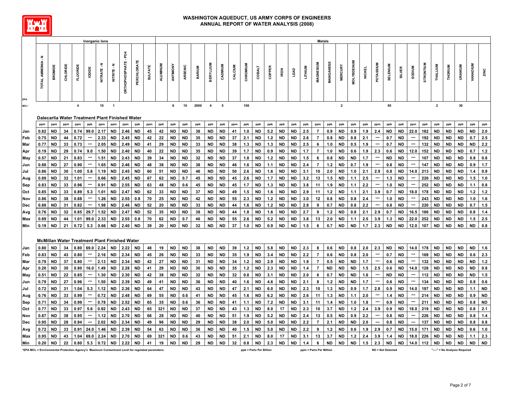

|            |                                                                                                  |           |          |                                                      | <b>Inorganic lons</b>    |           |                          |                     |           |                |          |           |           |               |                         |           |         |          |                         |        |             |             |                         | <b>Metals</b>  |                  |                         |                   |               |                          |                   |               |                          |                  |                |                |                               |                 |           |
|------------|--------------------------------------------------------------------------------------------------|-----------|----------|------------------------------------------------------|--------------------------|-----------|--------------------------|---------------------|-----------|----------------|----------|-----------|-----------|---------------|-------------------------|-----------|---------|----------|-------------------------|--------|-------------|-------------|-------------------------|----------------|------------------|-------------------------|-------------------|---------------|--------------------------|-------------------|---------------|--------------------------|------------------|----------------|----------------|-------------------------------|-----------------|-----------|
| <b>EPA</b> | TOTAL AMMONIA - N                                                                                | BROMIDE   | CHLORIDE | FLUORIDE                                             | lopipe                   | NITRATE-N | $\ddot{\tau}$<br>NITRITE | ğ<br>ORTHOPHOSPHATE | PERCHLORA | <b>SULFATE</b> | ALUMINUM | ANTIMONY  | ARSENIC   | <b>BARIUM</b> | <b>BERYLLIUM</b>        | CADMIUM   | CALCIUM | CHROMIUM | <b>COBALT</b>           | COPPER | <b>IRON</b> | <b>LEAD</b> | <b>LITHIUM</b>          | MAGNESIUM      | <b>WANGANESE</b> | <b>MERCURY</b>          | <b>MOLYBDENUM</b> | <b>NICKEL</b> | POTASSIUM                | SELENIUM          | <b>SILVER</b> | MUIGOS                   | <b>STRONTIUM</b> | THALLIUM       | <b>THORIUM</b> | <b>URANIUM</b>                | <b>VANADIUM</b> | ZINC      |
| MCL*       |                                                                                                  |           |          | $\overline{\mathbf{4}}$                              |                          | 10        | $\overline{1}$           |                     |           |                |          | 6         | 10        | 2000          | $\overline{\mathbf{4}}$ | 5         |         | 100      |                         |        |             |             |                         |                |                  | $\overline{\mathbf{2}}$ |                   |               |                          | 50                |               |                          |                  | $\overline{2}$ |                | 30                            |                 |           |
|            |                                                                                                  |           |          |                                                      |                          |           |                          |                     |           |                |          |           |           |               |                         |           |         |          |                         |        |             |             |                         |                |                  |                         |                   |               |                          |                   |               |                          |                  |                |                |                               |                 |           |
|            |                                                                                                  |           |          | Dalecarlia Water Treatment Plant Finished Water      |                          |           |                          |                     |           |                |          |           |           |               |                         |           |         |          |                         |        |             |             |                         |                |                  |                         |                   |               |                          |                   |               |                          |                  |                |                |                               |                 |           |
|            | ppm                                                                                              | ppm       | ppm      | ppm                                                  | ppb                      | ppm       | ppm                      | ppm                 | ppb       | ppm            | ppb      | ppb       | ppb       | ppb           | ppb                     | ppb       | ppm     | ppb      | ppb                     | ppb    | ppb         | ppb         | ppb                     | ppm            | ppb              | ppb                     | ppb               | ppb           | ppm                      | ppb               | ppb           | ppm                      | ppb              | ppb            | ppb            | ppb                           | ppb             | ppb       |
| Jan        | 0.82                                                                                             | <b>ND</b> | 34       | 0.74                                                 | 99.0                     | 2.17      | <b>ND</b>                | 2.46                | <b>ND</b> | 45             | 42       | <b>ND</b> | <b>ND</b> | 38            | <b>ND</b>               | <b>ND</b> | 41      | 1.0      | ND                      | 5.2    | <b>ND</b>   | <b>ND</b>   | 2.5                     | $\overline{7}$ | 0.9              | <b>ND</b>               | 0.9               | 1.9           | 2.4                      | <b>ND</b>         | <b>ND</b>     | 22.0                     | 182              | <b>ND</b>      | <b>ND</b>      | <b>ND</b>                     | <b>ND</b>       | 2.0       |
| Feb        | 0.75                                                                                             | <b>ND</b> | 44       | 0.72                                                 | ---                      | 2.33      | <b>ND</b>                | 2.45                | ND        | 42             | 22       | <b>ND</b> | ND        | 35            | ND                      | ND        | 37      | 2.1      | <b>ND</b>               | $1.2$  | <b>ND</b>   | <b>ND</b>   | 2.6                     | $\overline{7}$ | 0.8              | <b>ND</b>               | 0.8               | 2.1           | ---                      | 0.7               | <b>ND</b>     | ---                      | 192              | <b>ND</b>      | <b>ND</b>      | <b>ND</b>                     | 0.7             | 2.5       |
| Mar        | 0.77                                                                                             | <b>ND</b> | 33       | 0.73                                                 | ---                      | 2.05      | <b>ND</b>                | 2.49                | ND        | 41             | 29       | <b>ND</b> | <b>ND</b> | 33            | ND                      | ND        | 38      | 1.3      | ND                      | 1.3    | <b>ND</b>   | <b>ND</b>   | 2.5                     | 6              | 1.0              | <b>ND</b>               | 0.5               | 1.9           | ---                      | 0.7               | <b>ND</b>     | $\cdots$                 | 132              | <b>ND</b>      | <b>ND</b>      | <b>ND</b>                     | <b>ND</b>       | 2.2       |
| Apr        | 0.19                                                                                             | ND        | 29       | 0.74                                                 | 9.0                      | 1.50      | ND                       | 2.40                | ND        | 40             | 22       | ND        | ND        | 35            | ND                      | ND        | 39      | 1.7      | ND                      | 0.9    | ND          | ND          | 1.7                     | 7              | 1.0              | ND                      | 0.6               | 1.9           | 2.3                      | 0.6               | ND            | 12.0                     | 152              | ND             | ND             | ND                            | 0.7             | $1.2$     |
| May        | 0.57                                                                                             | <b>ND</b> | 21       | 0.83                                                 | ---                      | 1.51      | <b>ND</b>                | 2.43                | ND        | 39             | 34       | <b>ND</b> | <b>ND</b> | 32            | <b>ND</b>               | <b>ND</b> | 37      | 1.8      | <b>ND</b>               | 1.2    | <b>ND</b>   | <b>ND</b>   | 1.5                     | 6              | 0.8              | <b>ND</b>               | <b>ND</b>         | 1.7           | ---                      | <b>ND</b>         | <b>ND</b>     | ---                      | 107              | ND             | <b>ND</b>      | <b>ND</b>                     | 0.8             | 0.8       |
| Jun        | 0.88                                                                                             | <b>ND</b> | 27       | 0.90                                                 | $\cdots$                 | 1.65      | <b>ND</b>                | 2.46                | <b>ND</b> | 48             | 38       | <b>ND</b> | <b>ND</b> | 38            | <b>ND</b>               | <b>ND</b> | 46      | 1.6      | <b>ND</b>               | 1.1    | <b>ND</b>   | <b>ND</b>   | 2.4                     | $\overline{7}$ | $1.2$            | <b>ND</b>               | 0.7               | 1.9           | $\cdots$                 | 0.8               | <b>ND</b>     | $\cdots$                 | 147              | <b>ND</b>      | <b>ND</b>      | <b>ND</b>                     | 0.9             | 1.7       |
| Jul        | 0.86                                                                                             | <b>ND</b> | 30       | 1.00                                                 | 5.6                      | 1.19      | <b>ND</b>                | 2.45                | <b>ND</b> | 60             | 51       | <b>ND</b> | <b>ND</b> | 46            | <b>ND</b>               | ND        | 50      | 2.6      | <b>ND</b>               | 1.6    | <b>ND</b>   | ND          | 3.1                     | 10             | 2.0              | ND                      | 1.0               | 2.1           | 2.9                      | 0.8               | <b>ND</b>     | 14.0                     | 213              | ND.            | <b>ND</b>      | ND                            | 1.4             | 0.9       |
| Aug        | 0.89                                                                                             | <b>ND</b> | 32       | 1.01                                                 | ---                      | 0.66      | <b>ND</b>                | 2.45                | <b>ND</b> | 67             | 62       | <b>ND</b> | 0.7       | 45            | <b>ND</b>               | <b>ND</b> | 45      | 2.6      | <b>ND</b>               | 1.7    | <b>ND</b>   | <b>ND</b>   | 3.2                     | 13             | 1.5              | <b>ND</b>               | 1.1               | 2.5           | ---                      | 1.3               | <b>ND</b>     | ÷                        | 220              | <b>ND</b>      | <b>ND</b>      | <b>ND</b>                     | 1.5             | 1.0       |
| Sep        | 0.83                                                                                             | ND        | 33       | 0.96                                                 | ---                      | 0.91      | <b>ND</b>                | 2.55                | ND        | 63             | 48       | <b>ND</b> | 0.6       | 45            | ND                      | ND        | 45      | 1.7      | ND                      | 1.3    | <b>ND</b>   | <b>ND</b>   | 3.8                     | 11             | 1.9              | <b>ND</b>               | 1.1               | 2.2           | ---                      | 1.0               | <b>ND</b>     | $\hspace{0.05cm} \cdots$ | 252              | <b>ND</b>      | ND             | ND                            | 1.1             | 0.8       |
| Oct        | 0.85                                                                                             | <b>ND</b> | 33       | 0.89                                                 | 5.3                      | 1.01      | ND                       | 2.47                | ND        | 62             | 33       | <b>ND</b> | ND        | 37            | ND                      | ND        | 49      | 1.5      | ND                      | 1.6    | ND          | ND          | 2.9                     | 11             | $1.2$            | ND                      | 1.1               | 2.1           | 3.9                      | 0.7               | ND            | 18.0                     | 178              | ND             | ND             | ND                            | $1.2$           | $1.2$     |
| Nov        | 0.86                                                                                             | <b>ND</b> | 38       | 0.88                                                 | ---                      | 1.26      | <b>ND</b>                | 2.55                | 0.8       | 70             | 25       | <b>ND</b> | <b>ND</b> | 42            | <b>ND</b>               | <b>ND</b> | 55      | 2.3      | <b>ND</b>               | 1.2    | <b>ND</b>   | <b>ND</b>   | 3.0                     | 12             | 0.8              | <b>ND</b>               | 0.8               | 2.4           | ---                      | 1.0               | <b>ND</b>     | ---                      | 243              | <b>ND</b>      | <b>ND</b>      | <b>ND</b>                     | 1.0             | 1.6       |
| Dec        | 0.88                                                                                             | <b>ND</b> | 31       | 0.82                                                 | ---                      | 1.98      | <b>ND</b>                | 2.46                | <b>ND</b> | 52             | 20       | <b>ND</b> | <b>ND</b> | 33            | ND                      | ND        | 44      | 1.6      | ND                      | 1.2    | <b>ND</b>   | ND          | 2.8                     | 9              | 0.7              | <b>ND</b>               | 0.8               | 2.2           | ---                      | 0.8               | <b>ND</b>     | ---                      | 220              | <b>ND</b>      | <b>ND</b>      | <b>ND</b>                     | 0.7             | 1.5       |
| Avg        | 0.76                                                                                             | <b>ND</b> | 32       | 0.85                                                 | 29.7                     | 1.52      | <b>ND</b>                | 2.47                | ND        | 52             | 35       | <b>ND</b> | <b>ND</b> | 38            | <b>ND</b>               | <b>ND</b> | 44      | 1.8      | ND                      | 1.6    | <b>ND</b>   | <b>ND</b>   | 2.7                     | 9              | $1.2$            | <b>ND</b>               | 0.8               | 2.1           | 2.9                      | 0.7               | <b>ND</b>     | 16.5                     | 186              | <b>ND</b>      | <b>ND</b>      | <b>ND</b>                     | 0.8             | $1.4$     |
| Max        | 0.89                                                                                             | ND        | 44       | 1.01                                                 | 99.0                     | 2.33      | ND                       | 2.55                | 0.8       | 70             | 62       | ND        | 0.7       | 46            | ND                      | ND        | 55      | 2.6      | ND                      | 5.2    | ND          | ND          | 3.8                     | 13             | 2.0              | ND                      | 1.1               | 2.5           | 3.9                      | 1.3               | ND            | 22.0                     | 252              | ND             | ND             | <b>ND</b>                     | 1.5             | 2.5       |
| Min        | 0.19                                                                                             | <b>ND</b> | 21       | 0.72                                                 | 5.3                      | 0.66      | <b>ND</b>                | 2.40                | <b>ND</b> | 39             | 20       | <b>ND</b> | <b>ND</b> | 32            | <b>ND</b>               | <b>ND</b> | 37      | 1.0      | <b>ND</b>               | 0.9    | <b>ND</b>   | <b>ND</b>   | 1.5                     | 6              | 0.7              | <b>ND</b>               | <b>ND</b>         | 1.7           | 2.3                      | <b>ND</b>         | <b>ND</b>     | 12.0                     | 107              | <b>ND</b>      | <b>ND</b>      | <b>ND</b>                     | <b>ND</b>       | 0.8       |
|            |                                                                                                  |           |          |                                                      |                          |           |                          |                     |           |                |          |           |           |               |                         |           |         |          |                         |        |             |             |                         |                |                  |                         |                   |               |                          |                   |               |                          |                  |                |                |                               |                 |           |
|            |                                                                                                  |           |          | <b>McMillan Water Treatment Plant Finished Water</b> |                          |           |                          |                     |           |                |          |           |           |               |                         |           |         |          |                         |        |             |             |                         |                |                  |                         |                   |               |                          |                   |               |                          |                  |                |                |                               |                 |           |
| Jan        | 0.80                                                                                             | <b>ND</b> | 34       | 0.80                                                 | 69.0                     | 2.24      | ND                       | 2.22                | <b>ND</b> | 48             | 19       | <b>ND</b> | <b>ND</b> | 38            | <b>ND</b>               | <b>ND</b> | 39      | $1.2$    | <b>ND</b>               | 5.8    | <b>ND</b>   | <b>ND</b>   | 2.3                     | 8              | 0.6              | <b>ND</b>               | 0.8               | 2.0           | 2.3                      | <b>ND</b>         | <b>ND</b>     | 14.0                     | 178              | <b>ND</b>      | <b>ND</b>      | <b>ND</b>                     | <b>ND</b>       | 1.6       |
| Feb        | 0.83                                                                                             | <b>ND</b> | 43       | 0.80                                                 | ---                      | 2.16      | <b>ND</b>                | 2.34                | <b>ND</b> | 45             | 26       | <b>ND</b> | <b>ND</b> | 33            | <b>ND</b>               | <b>ND</b> | 35      | 1.9      | <b>ND</b>               | 3.4    | <b>ND</b>   | <b>ND</b>   | 2.2                     | $\overline{7}$ | 0.6              | <b>ND</b>               | 0.8               | 2.0           | $\hspace{0.05cm} \cdots$ | 0.7               | <b>ND</b>     | $\cdots$                 | 169              | <b>ND</b>      | <b>ND</b>      | <b>ND</b>                     | 0.6             | 2.3       |
| Mar        | 0.79                                                                                             | <b>ND</b> | 37       | 0.80                                                 | $\cdots$                 | 2.13      | <b>ND</b>                | 2.34                | ND        | 42             | 27       | <b>ND</b> | <b>ND</b> | 31            | ND                      | <b>ND</b> | 34      | $1.2$    | ND                      | 2.9    | <b>ND</b>   | <b>ND</b>   | 1.9                     | $\overline{7}$ | 0.5              | <b>ND</b>               | <b>ND</b>         | 1.7           | $\cdots$                 | 0.6               | <b>ND</b>     | $\cdots$                 | 132              | ND             | <b>ND</b>      | ND                            | ND              | $1.2$     |
| Apr        | 0.20                                                                                             | <b>ND</b> | 30       | 0.80                                                 | 16.0                     | 1.49      | <b>ND</b>                | 2.28                | <b>ND</b> | 41             | 29       | <b>ND</b> | ND        | 30            | ND                      | ND        | 35      | $1.2$    | ND                      | 2.3    | <b>ND</b>   | <b>ND</b>   | 1.4                     | $\overline{7}$ | <b>ND</b>        | ND                      | <b>ND</b>         | 1.5           | 2.5                      | 0.6               | ND            | 14.0                     | 128              | ND             | <b>ND</b>      | <b>ND</b>                     | <b>ND</b>       | 0.8       |
| May        | 0.51                                                                                             | <b>ND</b> | 22       | 0.85                                                 |                          | 1.30      | <b>ND</b>                | 2.30                | <b>ND</b> | 42             | 38       | <b>ND</b> | <b>ND</b> | 32            | <b>ND</b>               | <b>ND</b> | 32      | 0.8      | ND                      | 3.1    | <b>ND</b>   | ND.         | 2.0                     | 6              | 0.7              | ND                      | ND                | 1.6           | ---                      | <b>ND</b>         | <b>ND</b>     | ┄                        | 112              | <b>ND</b>      | <b>ND</b>      | <b>ND</b>                     | <b>ND</b>       | 1.5       |
| Jun        | 0.79                                                                                             | <b>ND</b> | 27       | 0.96                                                 | ---                      | 1.50      | <b>ND</b>                | 2.39                | ND        | 49             | 41       | <b>ND</b> | <b>ND</b> | 36            | ND                      | ND        | 40      | 1.6      | <b>ND</b>               | 4.6    | <b>ND</b>   | <b>ND</b>   | 2.1                     | 8              | $1.2$            | <b>ND</b>               | <b>ND</b>         | 1.7           | ---                      | 0.6               | <b>ND</b>     | ---                      | 134              | <b>ND</b>      | <b>ND</b>      | <b>ND</b>                     | 0.8             | 0.6       |
| Jul        | 0.72                                                                                             | ND        | 31       | 1.04                                                 | 5.3                      | 1.12      | ND                       | 2.36                | ND        | 64             | 47       | <b>ND</b> | ND        | 43            | ND                      | ND        | 47      | 2.1      | ND                      | 6.0    | ND          | ND          | 2.3                     | 10             | 1.3              | ND                      | 0.9               | 1.7           | 2.8                      | 0.9               | <b>ND</b>     | 14.0                     | 197              | ND             | ND             | ND                            | 1.1             | <b>ND</b> |
| Aug        | 0.76                                                                                             | ND        | 33       | 0.99                                                 | ---                      | 0.72      | <b>ND</b>                | 2.48                | ND        | 69             | 55       | <b>ND</b> | 0.6       | 41            | ND                      | ND        | 45      | 1.6      | <b>ND</b>               | 6.2    | <b>ND</b>   | <b>ND</b>   | 2.6                     | 11             | 1.3              | <b>ND</b>               | 1.1               | 2.0           | ---                      | 1.4               | <b>ND</b>     | $\cdots$                 | 214              | ND             | <b>ND</b>      | <b>ND</b>                     | 0.9             | <b>ND</b> |
| Sep        | 0.71                                                                                             | <b>ND</b> | 34       | 0.99                                                 | $\hspace{0.05cm} \cdots$ | 0.78      | <b>ND</b>                | 2.52                | <b>ND</b> | 65             | 35       | <b>ND</b> | 0.6       | 36            | <b>ND</b>               | <b>ND</b> | 41      | 1.1      | <b>ND</b>               | 7.2    | <b>ND</b>   | <b>ND</b>   | 3.1                     | 11             | 1.4              | <b>ND</b>               | 1.0               | 1.8           | $\cdots$                 | 0.9               | <b>ND</b>     | $\cdots$                 | 211              | <b>ND</b>      | <b>ND</b>      | <b>ND</b>                     | 0.8             | <b>ND</b> |
| Oct        | 0.77                                                                                             | <b>ND</b> | 33       | 0.97                                                 | 5.6                      | 0.92      | <b>ND</b>                | 2.43                | ND        | 65             | 321      | <b>ND</b> | <b>ND</b> | 37            | <b>ND</b>               | <b>ND</b> | 43      | 1.3      | <b>ND</b>               | 8.0    | 17          | <b>ND</b>   | 2.3                     | 10             | 3.7              | <b>ND</b>               | 1.2               | 2.4           | 3.9                      | 0.9               | ND            | 18.0                     | 219              | <b>ND</b>      | <b>ND</b>      | <b>ND</b>                     | 0.8             | 2.1       |
| Nov        | 0.87                                                                                             | ND        | 38       | 0.95                                                 | ---                      | 1.12      | ND                       | 2.70                | ND        | 68             | 28       | ND        | ND        | 40            | ND                      | ND        | 51      | 1.9      | ND                      | 5.2    | ND          | ND          | 2.4                     | 13             | 0.5              | <b>ND</b>               | 0.9               | 2.2           | ---                      | 0.8               | <b>ND</b>     | ---                      | 226              | ND             | ND             | ND                            | 0.8             | $1.4$     |
| Dec        | 0.95                                                                                             | <b>ND</b> | 28       | 0.94                                                 | ---                      | 2.02      | <b>ND</b>                | 2.34                | <b>ND</b> | 49             | 96       | <b>ND</b> | <b>ND</b> | 29            | <b>ND</b>               | <b>ND</b> | 38      | 2.0      | <b>ND</b>               | 5.0    | <b>ND</b>   | <b>ND</b>   | 2.2                     | $\overline{7}$ | 2.1              | <b>ND</b>               | <b>ND</b>         | 2.0           | ---                      | 0.8               | <b>ND</b>     | ---                      | 137              | <b>ND</b>      | <b>ND</b>      | <b>ND</b>                     | 0.8             | 0.8       |
| Avg        | 0.72                                                                                             | <b>ND</b> | 33       | 0.91                                                 | 24.0                     | 1.46      | <b>ND</b>                | 2.39                | ND        | 54             | 63       | <b>ND</b> | <b>ND</b> | 36            | ND                      | <b>ND</b> | 40      | 1.5      | ND                      | 5.0    | <b>ND</b>   | <b>ND</b>   | 2.2                     | 9              | $1.2$            | <b>ND</b>               | 0.6               | 1.9           | 2.9                      | 0.7               | <b>ND</b>     | 15.0                     | 171              | ND             | <b>ND</b>      | <b>ND</b>                     | 0.6             | 1.0       |
| Max        | 0.95                                                                                             | <b>ND</b> | 43       | 1.04                                                 | 69.0                     | 2.24      | <b>ND</b>                | 2.70                | <b>ND</b> | 69             | 321      | <b>ND</b> | 0.6       | 43            | <b>ND</b>               | <b>ND</b> | 51      | 2.1      | ND                      | 8.0    | 17          | <b>ND</b>   | 3.1                     | 13             | 3.7              | <b>ND</b>               | 1.2               | 2.4           | 3.9                      | 1.4               | <b>ND</b>     | 18.0                     | 226              | <b>ND</b>      | <b>ND</b>      | <b>ND</b>                     | 1.1             | 2.3       |
| Min        |                                                                                                  | $0.20$ ND | 22       | 0.80                                                 | 5.3                      | $0.72$ ND |                          | 2.22                | <b>ND</b> | 41             | 19       | <b>ND</b> | <b>ND</b> | 29            | <b>ND</b>               | <b>ND</b> | 32      | 0.8      | <b>ND</b>               | 2.3    | <b>ND</b>   | <b>ND</b>   | 1.4                     | 6              | <b>ND</b>        | <b>ND</b>               | <b>ND</b>         | 1.5           | 2.3                      | <b>ND</b>         | <b>ND</b>     | 14.0                     | 112              | <b>ND</b>      | <b>ND</b>      | <b>ND</b>                     | <b>ND</b>       | <b>ND</b> |
|            | *EPA MCL = Environmental Protection Agency's Maximum Contaminant Level for regulated parameters. |           |          |                                                      |                          |           |                          |                     |           |                |          |           |           |               |                         |           |         |          | ppb = Parts Per Billion |        |             |             | ppm = Parts Per Million |                |                  |                         |                   |               |                          | ND = Not Detected |               |                          |                  |                |                | "----" = No Analysis Required |                 |           |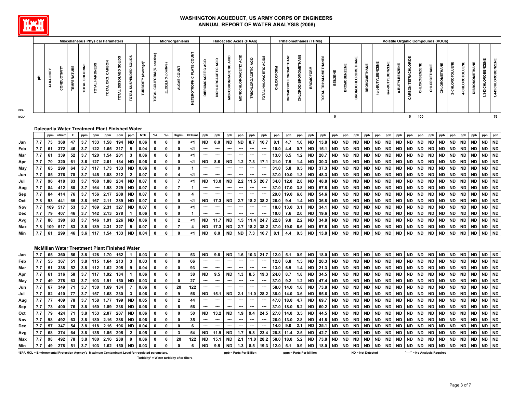

|                                                                                                  |     |                   |              |             |                |                | <b>Miscellaneous Physical Parameters</b> |                                                      |                        |                     |                             |                      | <b>Microorganisms</b> |                                  |                              |                               | <b>Haloacetic Acids (HAAs)</b> |                         |                          |                          |            |                             | <b>Trihalomethanes (THMs)</b> |                  |                       |           |                     |                           |                          |                   |                  |                |                      |                      | <b>Volatile Organic Compounds (VOCs)</b> |               |                 |                 |                       |                   |                     |
|--------------------------------------------------------------------------------------------------|-----|-------------------|--------------|-------------|----------------|----------------|------------------------------------------|------------------------------------------------------|------------------------|---------------------|-----------------------------|----------------------|-----------------------|----------------------------------|------------------------------|-------------------------------|--------------------------------|-------------------------|--------------------------|--------------------------|------------|-----------------------------|-------------------------------|------------------|-----------------------|-----------|---------------------|---------------------------|--------------------------|-------------------|------------------|----------------|----------------------|----------------------|------------------------------------------|---------------|-----------------|-----------------|-----------------------|-------------------|---------------------|
| EPA                                                                                              | 玉   | <b>ALKALINITY</b> | CONDUCTIVITY | TEMPERATURE | TOTAL CHLORINE | TOTAL HARDNESS | TOTAL ORG. CARBON                        | TOTAL DISSOLVED SOLIDS                               | TOTAL SUSPENDED SOLIDS | TURBIDITY (Average) | TOTAL COLIFORM (% positive) | E. COLI (% positive) | ALGAE COUNT           | <b>HETEROTROPHIC PLATE COUNT</b> | ACID<br><b>DIBROMOACETIC</b> | ACID<br><b>DICHLOROACETIC</b> | MONOBROMOACETIC ACID           | MONOCHLOROACETIC ACID   | TRICHLOROACETIC ACID     | TOTAL HALOACETIC ACIDS   | CHLOROFORM | <b>BROMODICHLOROMETHANE</b> | <b>CHLORODIBROMOMETHANE</b>   | <b>BROMOFORM</b> | TOTAL TRIHALOMETHANES | BENZENE   | <b>BROMOBENZENE</b> | <b>BROMOCHLOROMETHANE</b> | <b>BROMOMETHANE</b>      | tert-BUTYLBENZENE | sec-BUTYLBENZENE | n-BUTYLBENZENE | CARBON TETRACHLORIDE | <b>CHLOROBENZENE</b> | <b>CHLOROETHANE</b>                      | CHLOROMETHANE | 2-CHLOROTOLUENE | 4-CHLOROTOLUENE | <b>DIBROMOMETHANE</b> | 3-DICHLOROBENZENE | 1,4-DICHLOROBENZENE |
| MCL*                                                                                             |     |                   |              |             |                |                |                                          |                                                      |                        |                     |                             |                      |                       |                                  |                              |                               |                                |                         |                          |                          |            |                             |                               |                  |                       | 5         |                     |                           |                          |                   |                  |                | 5                    | 100                  |                                          |               |                 |                 |                       |                   | 75                  |
|                                                                                                  |     |                   |              |             |                |                |                                          |                                                      |                        |                     |                             |                      |                       |                                  |                              |                               |                                |                         |                          |                          |            |                             |                               |                  |                       |           |                     |                           |                          |                   |                  |                |                      |                      |                                          |               |                 |                 |                       |                   |                     |
|                                                                                                  |     |                   |              |             |                |                |                                          | Dalecarlia Water Treatment Plant Finished Water      |                        |                     |                             |                      |                       |                                  |                              |                               |                                |                         |                          |                          |            |                             |                               |                  |                       |           |                     |                           |                          |                   |                  |                |                      |                      |                                          |               |                 |                 |                       |                   |                     |
|                                                                                                  |     | ppm               |              |             | ppm            | ppm            | ppm                                      | ppm                                                  | ppm                    | <b>NTU</b>          | $%+$                        | $%+$                 | Org/mL                | CFU/mL                           | ppb                          | ppb                           | ppb                            | ppb                     | ppb                      | ppb                      | ppb        | ppb                         | ppb                           | ppb              | ppb                   | ppb       | ppb                 | ppb                       | ppb                      | ppb               | ppb              | ppb            | ppb                  | ppb                  | ppb                                      | ppb           | ppb             | ppb             | ppb                   | ppb               | ppb                 |
| Jan                                                                                              | 7.7 | 73                | 368          | 47          | 3.7            | 133            | 1.58                                     | 194                                                  | <b>ND</b>              | 0.06                | $\mathbf 0$                 | 0                    | 0                     | <1                               | <b>ND</b>                    | 8.0                           | <b>ND</b>                      | <b>ND</b>               | 8.7                      | 16.7                     | 8.1        | 4.7                         | 1.0                           | <b>ND</b>        | 13.8                  | <b>ND</b> | <b>ND</b>           | <b>ND</b>                 | <b>ND</b>                | <b>ND</b>         | <b>ND</b>        | <b>ND</b>      | <b>ND</b>            | <b>ND</b>            | <b>ND</b>                                | <b>ND</b>     | <b>ND</b>       | <b>ND</b>       | <b>ND</b>             | <b>ND</b>         | <b>ND</b>           |
| Feb                                                                                              | 7.7 | 61                | 372          | 46          | 3.7            | 122            | 1.65                                     | 217                                                  | 5                      | 0.04                | 0                           | 0                    | 0                     | <1                               | ---                          | ---                           | $\overline{\phantom{a}}$       | ---                     | $\sim$                   | ---                      | 10.0       | 4.4                         | 0.7                           | ND               | 15.1                  | <b>ND</b> | <b>ND</b>           | <b>ND</b>                 | <b>ND</b>                | <b>ND</b>         | ND               | ND             | <b>ND</b>            | <b>ND</b>            | <b>ND</b>                                | <b>ND</b>     | <b>ND</b>       | ND              | <b>ND</b>             | <b>ND</b>         | <b>ND</b>           |
| Mar                                                                                              | 7.7 | 61                | 339          | 52          | 3.7            | 120            | 1.54                                     | 201                                                  | 3                      | 0.06                | $\mathbf{0}$                | 0                    | 0                     | -1                               | ---                          | ---                           | ---                            | ---                     | $\overline{\phantom{a}}$ |                          | 13.0       | 6.5                         | $1.2$                         | <b>ND</b>        | 20.7                  | <b>ND</b> | <b>ND</b>           | <b>ND</b>                 | ND                       | <b>ND</b>         | <b>ND</b>        | ND             | <b>ND</b>            | <b>ND</b>            | <b>ND</b>                                | <b>ND</b>     | <b>ND</b>       | ND              | <b>ND</b>             | <b>ND</b>         | <b>ND</b>           |
| Apr                                                                                              | 7.7 | 70                | 320          | 61          | 3.6            | 127            | 2.01                                     | 184                                                  | <b>ND</b>              | 0.06                | 0                           | 0                    | 0                     | $<$ 1                            | <b>ND</b>                    | 8.6                           | <b>ND</b>                      | $1.2$                   | 7.3                      | 17.1                     | 21.0       | 7.9                         | 1.4                           | <b>ND</b>        | 30.3                  | ND        | <b>ND</b>           | <b>ND</b>                 | <b>ND</b>                | <b>ND</b>         | <b>ND</b>        | <b>ND</b>      | <b>ND</b>            | <b>ND</b>            | ND                                       | <b>ND</b>     | <b>ND</b>       | <b>ND</b>       | <b>ND</b>             | <b>ND</b>         | <b>ND</b>           |
| May                                                                                              | 7.7 | 65                | 299          | 64          | 3.7            | 117            | 1.73                                     | 133                                                  | <b>ND</b>              | 0.06                | 0                           | 0                    | 0                     | $\mathbf{1}$                     | $\cdots$                     | $\overline{\phantom{a}}$      | $\overline{\phantom{a}}$       | ---                     | $\overline{\phantom{a}}$ | $\cdots$                 | 31.0       | 5.8                         | 0.5                           | ND               | 37.3                  | <b>ND</b> | <b>ND</b>           | <b>ND</b>                 | ND                       | <b>ND</b>         | <b>ND</b>        | ND             | <b>ND</b>            | <b>ND</b>            | ND                                       | <b>ND</b>     | <b>ND</b>       | ND              | <b>ND</b>             | <b>ND</b>         | <b>ND</b>           |
| Jun                                                                                              | 7.7 | 85                | 376          | 78          | 3.7            | 145            | 1.88                                     | 212                                                  | $\overline{2}$         | 0.07                | 0                           | 0                    | 4                     | $<$ 1                            | ---                          | ---                           | ---                            | ---                     |                          | $\hspace{0.05cm} \cdots$ | 37.0       | 10.0                        | 1.3                           | <b>ND</b>        | 48.3                  | <b>ND</b> | <b>ND</b>           | <b>ND</b>                 | <b>ND</b>                | <b>ND</b>         | <b>ND</b>        | <b>ND</b>      | <b>ND</b>            | <b>ND</b>            | ND                                       | <b>ND</b>     | <b>ND</b>       | <b>ND</b>       | <b>ND</b>             | <b>ND</b>         | <b>ND</b>           |
| Jul                                                                                              | 7.7 | 96                | 418          | 83          | 3.7            | 168            | 1.88                                     | 234                                                  | <b>ND</b>              | 0.07                | $\pmb{0}$                   | $\mathbf{0}$         | $\overline{7}$        | $<$ 1                            | <b>ND</b>                    | 13.0                          | <b>ND</b>                      | 2.2                     | 11.5                     | 26.7                     | 34.0       | 12.0                        | 2.8                           | <b>ND</b>        | 48.8                  | <b>ND</b> | <b>ND</b>           | <b>ND</b>                 | <b>ND</b>                | <b>ND</b>         | <b>ND</b>        | <b>ND</b>      | <b>ND</b>            | <b>ND</b>            | <b>ND</b>                                | <b>ND</b>     | <b>ND</b>       | <b>ND</b>       | <b>ND</b>             | <b>ND</b>         | <b>ND</b>           |
| Aug                                                                                              | 7.7 | 84                | 412          | 80          | 3.7            | 164            | 1.98                                     | 229                                                  | <b>ND</b>              | 0.07                | 0                           | 0                    | $\overline{7}$        | $\mathbf{1}$                     | ---                          | ---                           | ---                            | ---                     | ---                      |                          | 37.0       | 17.0                        | 3.8                           | <b>ND</b>        | 57.8                  | <b>ND</b> | <b>ND</b>           | <b>ND</b>                 | <b>ND</b>                | <b>ND</b>         | <b>ND</b>        | <b>ND</b>      | <b>ND</b>            | <b>ND</b>            | <b>ND</b>                                | <b>ND</b>     | <b>ND</b>       | <b>ND</b>       | <b>ND</b>             | <b>ND</b>         | <b>ND</b>           |
| Sep                                                                                              | 7.7 | 84                | 414          | 76          | 3.7            | 156            | 2.17                                     | 208                                                  | <b>ND</b>              | 0.07                | $\mathbf 0$                 | $\mathbf{0}$         | $\mathbf 0$           | 4                                |                              |                               |                                | ---                     | ---                      | …                        | 29.0       | 19.0                        | 6.6                           | <b>ND</b>        | 54.6                  | <b>ND</b> | <b>ND</b>           | <b>ND</b>                 | <b>ND</b>                | <b>ND</b>         | <b>ND</b>        | <b>ND</b>      | <b>ND</b>            | <b>ND</b>            | <b>ND</b>                                | <b>ND</b>     | <b>ND</b>       | <b>ND</b>       | <b>ND</b>             | <b>ND</b>         | <b>ND</b>           |
| Oct                                                                                              | 7.8 | 93                | 441          | 65          | 3.8            | 167            | 2.11                                     | 289                                                  | <b>ND</b>              | 0.07                | $\pmb{0}$                   | $\mathbf{0}$         | 0                     | <1                               | ND                           | 17.3                          | <b>ND</b>                      | 2.7                     | 18.2                     | 38.2                     | 26.0       | 9.4                         | 1.4                           | <b>ND</b>        | 36.8                  | <b>ND</b> | <b>ND</b>           | <b>ND</b>                 | <b>ND</b>                | <b>ND</b>         | <b>ND</b>        | <b>ND</b>      | <b>ND</b>            | <b>ND</b>            | <b>ND</b>                                | <b>ND</b>     | <b>ND</b>       | <b>ND</b>       | <b>ND</b>             | <b>ND</b>         | <b>ND</b>           |
| Nov                                                                                              | 7.7 | 109               | 517          | 53          | 3.7            | 189            | 2.31                                     | 327                                                  | <b>ND</b>              | 0.07                | 0                           | 0                    | $\bf{0}$              | $<$ 1                            | ---                          | ---                           | ---                            | ---                     | ---                      | ---                      | 18.0       | 13.0                        | 3.1                           | <b>ND</b>        | 34.1                  | <b>ND</b> | <b>ND</b>           | <b>ND</b>                 | <b>ND</b>                | <b>ND</b>         | <b>ND</b>        | <b>ND</b>      | <b>ND</b>            | <b>ND</b>            | <b>ND</b>                                | <b>ND</b>     | <b>ND</b>       | <b>ND</b>       | <b>ND</b>             | <b>ND</b>         | <b>ND</b>           |
| Dec                                                                                              | 7.7 | 79                | 407          | 46          | 3.7            | 142            | 2.13                                     | 278                                                  | $\mathbf{1}$           | 0.06                | 0                           | 0                    | $\bf{0}$              | $\mathbf{1}$                     |                              | $\overline{a}$                | ---                            | ---                     | ---                      | ---                      | 10.0       | 7.6                         | 2.0                           | <b>ND</b>        | 19.6                  | <b>ND</b> | <b>ND</b>           | <b>ND</b>                 | <b>ND</b>                | <b>ND</b>         | <b>ND</b>        | ND             | <b>ND</b>            | <b>ND</b>            | <b>ND</b>                                | <b>ND</b>     | <b>ND</b>       | <b>ND</b>       | <b>ND</b>             | <b>ND</b>         | <b>ND</b>           |
| Avg                                                                                              | 7.7 | 80                | 390          | 63          | 3.7            | 146            | 1.91                                     | 226                                                  | <b>ND</b>              | 0.06                | 0                           | $\bf{0}$             | $\overline{2}$        | <1                               | <b>ND</b>                    | 11.7                          | <b>ND</b>                      | 1.5                     | 11.4                     | 24.7                     | 22.8       | 9.8                         | 2.2                           | <b>ND</b>        | 34.8                  | <b>ND</b> | <b>ND</b>           | <b>ND</b>                 | <b>ND</b>                | <b>ND</b>         | <b>ND</b>        | <b>ND</b>      | <b>ND</b>            | <b>ND</b>            | <b>ND</b>                                | <b>ND</b>     | <b>ND</b>       | ND              | <b>ND</b>             | <b>ND</b>         | <b>ND</b>           |
| Max                                                                                              | 7.8 | 109               | 517          | 83          | 3.8            | 189            | 2.31                                     | 327                                                  | 5                      | 0.07                | $\mathbf 0$                 | 0                    | $\overline{7}$        | 4                                | <b>ND</b>                    | 17.3                          | <b>ND</b>                      | 2.7                     | 18.2                     | 38.2                     | 37.0       | 19.0                        | 6.6                           | <b>ND</b>        | 57.8                  | <b>ND</b> | <b>ND</b>           | <b>ND</b>                 | <b>ND</b>                | <b>ND</b>         | <b>ND</b>        | <b>ND</b>      | <b>ND</b>            | <b>ND</b>            | ND                                       | <b>ND</b>     | <b>ND</b>       | <b>ND</b>       | <b>ND</b>             | <b>ND</b>         | <b>ND</b>           |
| Min                                                                                              | 7.7 | 61                | 299          | 46          | 3.6            | 117            | 1.54                                     | 133                                                  | <b>ND</b>              | 0.04                | $\mathbf{0}$                | $\pmb{0}$            | 0                     | <1                               | <b>ND</b>                    | 8.0                           | <b>ND</b>                      | <b>ND</b>               | 7.3                      | 16.7                     | 8.1        | 4.4                         | 0.5                           | <b>ND</b>        | 13.8                  | <b>ND</b> | <b>ND</b>           | <b>ND</b>                 | <b>ND</b>                | <b>ND</b>         | <b>ND</b>        | <b>ND</b>      | <b>ND</b>            | <b>ND</b>            | <b>ND</b>                                | <b>ND</b>     | <b>ND</b>       | <b>ND</b>       | <b>ND</b>             | <b>ND</b>         | <b>ND</b>           |
|                                                                                                  |     |                   |              |             |                |                |                                          |                                                      |                        |                     |                             |                      |                       |                                  |                              |                               |                                |                         |                          |                          |            |                             |                               |                  |                       |           |                     |                           |                          |                   |                  |                |                      |                      |                                          |               |                 |                 |                       |                   |                     |
|                                                                                                  |     |                   |              |             |                |                |                                          | <b>McMillan Water Treatment Plant Finished Water</b> |                        |                     |                             |                      |                       |                                  |                              |                               |                                |                         |                          |                          |            |                             |                               |                  |                       |           |                     |                           |                          |                   |                  |                |                      |                      |                                          |               |                 |                 |                       |                   |                     |
| Jan                                                                                              | 7.7 | 65                | 360          | 56          | 3.8            | 128            | 1.70                                     | 162                                                  | $\mathbf 1$            | 0.03                | $\pmb{0}$                   | 0                    | $\mathbf 0$           | 53                               | <b>ND</b>                    | 9.8                           | <b>ND</b>                      | 1.6                     | 10.3                     | 21.7                     | 12.0       | 5.1                         | 0.9                           | <b>ND</b>        | 18.0                  | ND   ND   |                     | <b>ND</b>                 | <b>ND</b>                | <b>ND</b>         | <b>ND</b>        | <b>ND</b>      | ND.                  | <b>ND</b>            | <b>ND</b>                                | <b>ND</b>     | <b>ND</b>       | <b>ND</b>       | <b>ND</b>             | <b>ND</b>         | ND                  |
| Feb                                                                                              | 7.7 | 55                | 367          | 51          | 3.8            | 115            | 1.64                                     | 213                                                  | 3                      | 0.03                | 0                           | 0                    | 0                     | 66                               | ---                          | ---                           | ---                            |                         | ---                      | ---                      | 12.0       | 6.8                         | 1.5                           | <b>ND</b>        | 20.3                  | <b>ND</b> | <b>ND</b>           | <b>ND</b>                 | <b>ND</b>                | <b>ND</b>         | <b>ND</b>        | <b>ND</b>      | <b>ND</b>            | <b>ND</b>            | <b>ND</b>                                | <b>ND</b>     | <b>ND</b>       | <b>ND</b>       | <b>ND</b>             | <b>ND</b>         | <b>ND</b>           |
| Mar                                                                                              | 7.7 | 51                | 338          | 52          | 3.8            | 112            | 1.62                                     | 205                                                  | 9                      | 0.04                | 0                           | $\bf{0}$             | 0                     | 93                               | ┅                            | ---                           |                                | ---                     |                          | ---                      | 13.0       | 6.9                         | 1.4                           | <b>ND</b>        | 21.3                  | <b>ND</b> | <b>ND</b>           | <b>ND</b>                 | <b>ND</b>                | <b>ND</b>         | <b>ND</b>        | ND             | <b>ND</b>            | <b>ND</b>            | <b>ND</b>                                | <b>ND</b>     | <b>ND</b>       | <b>ND</b>       | <b>ND</b>             | <b>ND</b>         | <b>ND</b>           |
| Apr                                                                                              | 7.7 | 61                | 316          | 58          | 3.7            | 117            | 1.92                                     | 184                                                  | $\mathbf 1$            | 0.06                | $\pmb{0}$                   | $\mathbf 0$          | 0                     | 38                               | ND                           | 9.5                           | <b>ND</b>                      | 1.3                     | 8.5                      | 19.3                     | 24.0       | 8.7                         | 1.8                           | <b>ND</b>        | 34.5                  | <b>ND</b> | <b>ND</b>           | <b>ND</b>                 | <b>ND</b>                | <b>ND</b>         | <b>ND</b>        | <b>ND</b>      | <b>ND</b>            | <b>ND</b>            | <b>ND</b>                                | <b>ND</b>     | <b>ND</b>       | <b>ND</b>       | <b>ND</b>             | <b>ND</b>         | <b>ND</b>           |
| May                                                                                              | 7.7 | 49                | 278          | 63          | 3.7            | 103            | 1.91                                     | 150                                                  | <b>ND</b>              | 0.03                | $\mathbf 0$                 | 0                    | 0                     | 27                               | ---                          | $\sim$                        | ---                            | ---                     | ---                      | $\cdots$                 | 37.0       | 9.2                         | 1.2                           | <b>ND</b>        | 47.4                  | <b>ND</b> | <b>ND</b>           | <b>ND</b>                 | <b>ND</b>                | <b>ND</b>         | <b>ND</b>        | <b>ND</b>      | ND                   | <b>ND</b>            | ND                                       | <b>ND</b>     | <b>ND</b>       | ND              | <b>ND</b>             | <b>ND</b>         | <b>ND</b>           |
| Jun                                                                                              | 7.7 | 67                | 349          | 71          | 3.7            | 130            | 1.69                                     | 184                                                  | $\overline{7}$         | 0.06                | 0                           | $\mathbf 0$          | 20                    | 122                              | ---                          | ---                           | $\ddotsc$                      | ---                     | $\overline{\phantom{a}}$ | $\hspace{0.05cm} \cdots$ | 58.0       | 14.0                        | 1.8                           | <b>ND</b>        | 73.8                  | <b>ND</b> | <b>ND</b>           | <b>ND</b>                 | ND                       | <b>ND</b>         | <b>ND</b>        | ND             | <b>ND</b>            | <b>ND</b>            | ND                                       | <b>ND</b>     | <b>ND</b>       | <b>ND</b>       | <b>ND</b>             | <b>ND</b>         | <b>ND</b>           |
| Jul                                                                                              | 7.7 | 82                | 410          | 77          | 3.7            | 157            | 1.68                                     | 230                                                  | 3                      | 0.06                | 0                           | 0                    | 9                     | 56                               | ND                           | 15.1                          | <b>ND</b>                      | 2.1                     | 11.0                     | 28.2                     | 38.0       | 14.0                        | 3.6                           | ND               | 55.6                  | ND        | <b>ND</b>           | <b>ND</b>                 | ND.                      | <b>ND</b>         | ND               | ND             | <b>ND</b>            | <b>ND</b>            | ND                                       | <b>ND</b>     | <b>ND</b>       | ND              | <b>ND</b>             | <b>ND</b>         | <b>ND</b>           |
| Aug                                                                                              | 7.7 | 77                | 409          | 78          | 3.7            | 158            | 1.77                                     | 199                                                  | <b>ND</b>              | 0.05                | 0                           | 0                    | $\mathbf{2}$          | 44                               | ---                          | ---                           | ---                            | ---                     | ---                      | $\cdots$                 | 47.0       | 18.0                        | 4.7                           | ND               | 69.7                  | ND        | <b>ND</b>           | <b>ND</b>                 | <b>ND</b>                | <b>ND</b>         | <b>ND</b>        | ND             | <b>ND</b>            | <b>ND</b>            | ND                                       | <b>ND</b>     | <b>ND</b>       | ND              | <b>ND</b>             | <b>ND</b>         | <b>ND</b>           |
| Sep                                                                                              | 7.7 | 73                | 400          | 76          | 3.8            | 150            | 1.89                                     | 238                                                  | <b>ND</b>              | 0.06                | $\mathbf{0}$                | 0                    | 8                     | 56                               | ---                          | $\overline{a}$                | $\overline{a}$                 | ---                     | $\overline{\phantom{a}}$ |                          | 37.0       | 18.0                        | 5.2                           | ND               | 60.2                  | ND        | <b>ND</b>           | <b>ND</b>                 | ND                       | <b>ND</b>         | <b>ND</b>        | ND             | <b>ND</b>            | <b>ND</b>            | ND                                       | <b>ND</b>     | <b>ND</b>       | ND              | <b>ND</b>             | <b>ND</b>         | <b>ND</b>           |
| Oct                                                                                              | 7.7 | 79                | 424          | 71          | 3.8            | 153            | 2.07                                     | 207                                                  | <b>ND</b>              | 0.06                | 0                           | 0                    | 0                     | 50                               | ND.                          | 13.2                          | ND                             | 1.9                     | 9.4                      | 24.5                     | 27.0       | 14.0                        | 3.5                           | <b>ND</b>        | 44.5                  | ND.       | <b>ND</b>           | <b>ND</b>                 | ND.                      | <b>ND</b>         | <b>ND</b>        | ND             | <b>ND</b>            | <b>ND</b>            | ND                                       | <b>ND</b>     | <b>ND</b>       | ND              | <b>ND</b>             | <b>ND</b>         | <b>ND</b>           |
| Nov                                                                                              | 7.7 | 98                | 492          | 63          | 3.8            | 180            | 2.16                                     | 288                                                  | <b>ND</b>              | 0.06                | 0                           | 0                    | $\mathbf 0$           | 35                               | ---                          | ---                           | ---                            | ---                     | $\cdots$                 | ---                      | 26.0       | 13.0                        | 2.8                           | <b>ND</b>        | 41.8                  | <b>ND</b> | <b>ND</b>           | <b>ND</b>                 | <b>ND</b>                | <b>ND</b>         | <b>ND</b>        | <b>ND</b>      | <b>ND</b>            | <b>ND</b>            | ND                                       | <b>ND</b>     | <b>ND</b>       | <b>ND</b>       | <b>ND</b>             | <b>ND</b>         | <b>ND</b>           |
| Dec                                                                                              | 7.7 | 57                | 347          | 54          | 3.8            | 118            | 2.16                                     | 196                                                  | <b>ND</b>              | 0.04                | 0                           | 0                    | 0                     | 6                                | $\cdots$                     | ---                           |                                | ---                     | ---                      |                          | 14.0       | 9.0                         | 2.1                           | ND               | 25.1                  | <b>ND</b> | <b>ND</b>           | <b>ND</b>                 | ND                       | <b>ND</b>         | <b>ND</b>        | ND             | <b>ND</b>            | <b>ND</b>            | ND                                       | <b>ND</b>     | <b>ND</b>       | <b>ND</b>       | <b>ND</b>             | <b>ND</b>         | <b>ND</b>           |
| Avg                                                                                              | 7.7 | 68                | 374          | 64          | 3.8            | 135            | 1.85                                     | 205                                                  | $\overline{2}$         | 0.05                | 0                           | 0                    | 3                     | 54                               | ND                           | 11.9                          | <b>ND</b>                      | 1.7                     | 9.8                      | 23.4                     | 28.8       | 11.4                        | 2.5                           | <b>ND</b>        | 42.7                  | <b>ND</b> | ND                  | <b>ND</b>                 | <b>ND</b>                | <b>ND</b>         | <b>ND</b>        | <b>ND</b>      | <b>ND</b>            | <b>ND</b>            | ND                                       | <b>ND</b>     | <b>ND</b>       | <b>ND</b>       | <b>ND</b>             | <b>ND</b>         | <b>ND</b>           |
| Max                                                                                              | 7.7 | 98                | 492          | 78          | 3.8            | 180            | 2.16                                     | 288                                                  | 9                      | 0.06                | $\mathbf{0}$                | $\mathbf{0}$         | 20                    | 122                              | <b>ND</b>                    | 15.1                          | <b>ND</b>                      | 2.1                     | 11.0                     | 28.2                     | 58.0       | 18.0                        | 5.2                           | <b>ND</b>        | 73.8                  | <b>ND</b> | <b>ND</b>           | <b>ND</b>                 | <b>ND</b>                | <b>ND</b>         | <b>ND</b>        | <b>ND</b>      | <b>ND</b>            | <b>ND</b>            | <b>ND</b>                                | <b>ND</b>     | <b>ND</b>       | <b>ND</b>       | <b>ND</b>             | <b>ND</b>         | <b>ND</b>           |
| Min                                                                                              | 7.7 | 49                | 278          | 51          | 3.7            | 103            | $1.62$ 150                               |                                                      | <b>ND</b>              | 0.03                | $\mathbf{0}$                | $\pmb{0}$            | $\pmb{0}$             | 6                                | <b>ND</b>                    | 9.5                           | <b>ND</b>                      | 1.3                     | 8.5                      | 19.3                     | 12.0       | 5.1                         | 0.9                           | <b>ND</b>        | 18.0                  | ND ND     |                     | <b>ND</b>                 | ND   ND                  |                   | ND               | <b>ND</b>      | <b>ND</b>            | <b>ND</b>            | ND                                       | ND            | <b>ND</b>       | <b>ND</b>       | ND                    | <b>ND</b>         | ND                  |
| *EPA MCL = Environmental Protection Agency's Maximum Contaminant Level for regulated parameters. |     |                   |              |             |                |                |                                          |                                                      |                        |                     |                             |                      |                       |                                  |                              |                               |                                | ppb = Parts Per Billion |                          |                          |            |                             | ppm = Parts Per Million       |                  |                       |           |                     |                           | <b>ND = Not Detected</b> |                   |                  |                |                      |                      | "----" = No Analysis Required            |               |                 |                 |                       |                   |                     |

**Turbidity\* = Water turbidity after filters**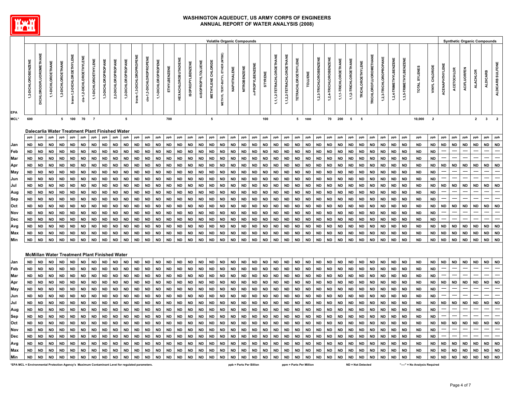

|            |                                                                                                         |                                         |                                                                |                                          |                                            |             |                                            |                                                       |                                                 |                                 |   |   |   |                                                                                            |             |                                                             |                                                |                                                                 | <b>Volatile Organic Compounds</b>  |   |                                                 |                  |                                      |     |                                                                                                                            |                                      |                                            |                        |                                                                                             |                        |                                                                 |                                 |              |             |    |                                                            |                                                                           |             |                                    |                         |                    |                             | <b>Synthetic Organic Compounds</b> |                          |
|------------|---------------------------------------------------------------------------------------------------------|-----------------------------------------|----------------------------------------------------------------|------------------------------------------|--------------------------------------------|-------------|--------------------------------------------|-------------------------------------------------------|-------------------------------------------------|---------------------------------|---|---|---|--------------------------------------------------------------------------------------------|-------------|-------------------------------------------------------------|------------------------------------------------|-----------------------------------------------------------------|------------------------------------|---|-------------------------------------------------|------------------|--------------------------------------|-----|----------------------------------------------------------------------------------------------------------------------------|--------------------------------------|--------------------------------------------|------------------------|---------------------------------------------------------------------------------------------|------------------------|-----------------------------------------------------------------|---------------------------------|--------------|-------------|----|------------------------------------------------------------|---------------------------------------------------------------------------|-------------|------------------------------------|-------------------------|--------------------|-----------------------------|------------------------------------|--------------------------|
| <b>EPA</b> | 豐<br>問<br>ш<br>$\mathbf{m}$<br>ူ<br>$\circ$<br><b>T</b><br>്<br>C<br>$\sim$<br>$\overline{\phantom{0}}$ | ш<br>$\sim$<br>$\circ$<br>-<br>$\Omega$ | ш<br>z<br><b>.</b><br>븽<br>Ŧ.<br>흐<br>٥<br>÷<br>$\overline{ }$ | ш<br>$\sim$<br><b>II</b><br>$\circ$<br>Ń | ш<br>z<br>ш<br>ш<br>$\circ$<br>ပ<br>o<br>- | ш<br>z<br>ပ | ш<br>졺<br>$\circ$<br>$\Box$<br>$\sim$<br>- | ш<br>z<br>⌒<br>$\ddot{\phantom{1}}$<br>$\overline{ }$ | ш<br>z<br>$\circ$<br>$\sim$<br>്<br>c<br>Ń<br>Ń | $\overline{111}$<br>Ń<br>$\div$ | ш | ш | z | ш<br>ш<br>$\overline{\phantom{a}}$<br>$\overline{\phantom{a}}$<br>$\overline{\phantom{0}}$ | z<br>N<br>z | ш<br>z<br>$\overline{\phantom{0}}$<br>٥<br>×<br>ш<br>$\sim$ | ZENE<br>û<br>m<br>$\circ$<br>œ<br>o<br>ഗ<br>-- | ш<br>z<br>ш<br>Ξ<br>ᅴ<br>$\circ$<br>o<br>$\circ$<br>Ø<br>-<br>₹ | RIDE<br>o<br>Ō<br>ш<br>z<br>ш<br>Σ | 命 | ш<br>z<br>ш<br><u>. на три</u><br><b>.</b><br>ż | z<br>ш<br>-<br>z | ш<br>孟<br>N<br>z<br>뽋<br>ဥ<br>$\sim$ | ш   | 쀻<br>⊢<br>Ж<br>$\circ$<br>-<br><b>.</b><br>$\circ$<br>ш<br>ᠷ<br>Ń<br>. .<br>↽<br>$\div$<br>. .<br>$\overline{\phantom{0}}$ | ш<br>N<br>$\overline{ }$<br>. .<br>- | ₩<br>٠<br>£<br>⊢<br>o<br>۰<br>Ŧ.<br>ပ<br>Ĕ | ш<br>û<br>$\circ$<br>⊢ | VZENE<br>û<br>$\mathbf{m}$<br><b>II</b><br>ပ<br>휸<br>$\ddot{\sim}$<br>. .<br>$\overline{ }$ | 볾<br>$\circ$<br>N<br>↩ | 쀻<br>ÌН<br>۰<br>œ<br>C<br>P.<br>. .<br>$\overline{ }$<br>$\div$ | . .<br>$\overline{\phantom{0}}$ | ш<br>fi<br>ш | ш<br>z<br>읖 | ΝÏ | ш<br>-<br>۴ī<br>m<br>$\overline{z}$<br>Ņ<br>$\overline{ }$ | ш.<br>z<br>ш<br>N<br>z<br>ш<br>m<br>⊣<br>-<br>$\sim$<br>m<br>ຕູ<br>$\sim$ | ഗ<br>ш<br>~ | ш<br>믍<br>ပ<br>$\ddot{\mathbf{y}}$ | ш<br>롞<br>-<br>fii<br>ပ | $\alpha$<br>ш<br>ပ | z<br>ш<br>≞.<br>$\mathbf c$ | æ.                                 | ă<br>รี<br>æ<br>္ဂိ<br>₹ |
| MCL*       | 600                                                                                                     |                                         |                                                                | 5                                        | 100                                        | 70          |                                            |                                                       |                                                 |                                 |   |   |   |                                                                                            | 700         |                                                             |                                                |                                                                 |                                    |   |                                                 |                  |                                      | 100 |                                                                                                                            |                                      | 5                                          | 1000                   |                                                                                             | 70                     | 200                                                             | 5                               | 5            |             |    |                                                            |                                                                           | 10,000      | $\sim$<br>-2                       |                         |                    |                             |                                    | $\overline{2}$           |

#### **Dalecarlia Water Treatment Plant Finished Water**

|             | ppb l     | ppb  | ppb       | ppb  | ppb     | ppb  | ppb               | ppb       | ppb        | ppb       | ppb       | ppb       | ppb               | ppb  | ppb       | ppb       |      | ppb ppb                | ppb  | $ppb$ ppb |      | ppb                                                                | ppb  | ppb | ppb  | ppb      | ppb       | ppb          | ppb     | ppb    | ppb                    | ppb    | ppb  | ppb          | ppb       | ppb       | ppb       | ppb       | ppb ppb |              | ppb  | ppb                    | ppb ppb           |         |
|-------------|-----------|------|-----------|------|---------|------|-------------------|-----------|------------|-----------|-----------|-----------|-------------------|------|-----------|-----------|------|------------------------|------|-----------|------|--------------------------------------------------------------------|------|-----|------|----------|-----------|--------------|---------|--------|------------------------|--------|------|--------------|-----------|-----------|-----------|-----------|---------|--------------|------|------------------------|-------------------|---------|
| <b>Jan</b>  | ND.       | ND I | ND.       |      | ND ND I | ND I | <b>ND</b>         | <b>ND</b> | ND I       | ND.       | ND I      | ND I      | ND I              | ND I | ND I      | ND I      |      | ND   ND                |      |           |      |                                                                    |      |     |      |          |           |              |         |        | ND   ND   ND   ND      |        |      | ND   ND   ND | ND.       | ND.       | <b>ND</b> | ND .      |         | INDINDI      |      |                        | ND   ND   ND   ND |         |
| lFeb.       |           |      | ND   ND   |      | ND ND I | ND I | ND.               | ND.       | ND I       | ND.       | ND.       | ND I      | ND I              | ND I | <b>ND</b> | <b>ND</b> |      | ND   ND                | ND I |           |      | ND   ND   ND   ND   ND                                             |      |     |      | ND   ND  | <b>ND</b> |              | ND   ND | ND I   | ND.                    | I ND   | ND I | l ND         | ND.       | <b>ND</b> | <b>ND</b> | <b>ND</b> | ----    |              | ---- | ----                   |                   |         |
| Mar         | ND.       | ND I | ND.       |      | ND   ND |      | ND   ND           |           | ND   ND    | ND.       | ND.       | ND        | ND I              |      | ND   ND   | ND I      |      | ND IND I               |      |           |      | ND   ND   ND   ND   ND   ND                                        |      |     |      | ND IND I | ND.       | ND   ND      |         |        | ND   ND                | IND I  |      | INDINDI      | I ND      | ND.       | <b>ND</b> | <b>ND</b> |         |              | ---- |                        |                   |         |
| Apr         |           |      | ND   ND   |      | ND   ND | ND I | <b>ND</b>         | <b>ND</b> | ND         | <b>ND</b> | <b>ND</b> | ND        | , ND '            | ND   | <b>ND</b> | ND        |      | ND   ND                |      |           |      | ND   ND   ND   ND   ND   ND                                        |      |     |      | ND   ND  | ND .      | ND ND        |         |        | ND   ND                | ND     |      | ND   ND      | ND        | I ND      | <b>ND</b> | ND .      |         | ND   ND      | ND   | ND.                    |                   | ND   ND |
| May         | <b>ND</b> | ND I | <b>ND</b> |      | ND   ND | ND I | <b>ND</b>         | ND I      | ND I       | ND.       | <b>ND</b> | ND        | ND                | ND I | <b>ND</b> | ND        | ND   | ND                     | ND   |           |      | ND   ND   ND   ND   ND                                             |      |     |      | ND   ND  | <b>ND</b> | ND ND I      |         |        | ND   ND                | ND     |      | ND   ND      | ND.       | ND.       | <b>ND</b> | <b>ND</b> | ----    |              | ---- | ----                   |                   |         |
| ∣Jun        |           |      | ND   ND   |      | ND   ND | ND I | ND .              | ND        | ND         |           | ND.       | ND I      | ND                | ND I | ND.       | ND        |      | ND   ND                |      |           |      | ND   ND   ND   ND   ND   ND                                        |      |     |      | ND   ND  | ND I      | ND   ND      |         |        | ND   ND                | ND     | ND   | ND           | ND        | ND        | <b>ND</b> | ND.       |         |              |      |                        |                   |         |
| IJul.       | ND.       | ND I | ND.       |      | ND   ND |      | ND   ND           |           | ND   ND    | ND.       | ND I      |           | ND   ND           |      | ND   ND   | ND        |      | ND   ND                |      |           |      |                                                                    |      |     |      |          | ND.       | ND ND I      |         |        | ND   ND                | IND.   |      | ND IND I     | ND.       | ND.       | <b>ND</b> | <b>ND</b> |         | ND   ND      | ND   | <b>ND</b>              | ND ND             |         |
| Aug         | ND I      |      | ND ND I   |      | ND   ND | ND I | <b>ND</b>         | <b>ND</b> | ND I       | <b>ND</b> | <b>ND</b> | ND        | <b>ND</b>         | ND I | <b>ND</b> | ND        |      | ND   ND                |      |           |      |                                                                    |      |     |      |          |           | ND ND        |         |        | ND   ND   ND           |        |      | ND   ND      | I ND      | I ND      | <b>ND</b> | <b>ND</b> |         |              |      |                        |                   |         |
| Sep         |           | ND I | ND.       |      | ND ND I | ND I | ND I              | ND I      | ND I       | ND.       | ND.       | ND I      | ND I              | ND I | ND I      | ND I      |      | ND   ND                |      |           |      | ND   ND   ND   ND   ND   ND                                        |      |     |      | ND   ND  | <b>ND</b> | ND   ND      |         | ∣ ND I | ND .                   | I ND   |      | ND   ND      | ND.       | <b>ND</b> | <b>ND</b> | ND.       |         |              |      |                        |                   |         |
| <b>lOct</b> | ND.       |      | ND   ND   |      |         |      | ND   ND   ND   ND |           | ND   ND    | ND I      | ND I      |           | ND   ND           |      |           |           |      | ND   ND   ND   ND   ND |      |           |      |                                                                    |      |     |      |          |           | ND   ND      |         |        | ND   ND   ND   ND   ND |        |      |              | ND.       | I ND      | <b>ND</b> | ND.       |         | ND   ND   ND |      | ND.                    | ND ND             |         |
| <b>Nov</b>  |           |      | ND   ND   |      | ND   ND |      | ND ND I           |           | ND ND ND I |           | ND        |           | ND   ND   ND   ND |      |           | ND        |      |                        |      |           |      | $ND   ND   ND   ND   ND   ND   ND   ND   ND   ND   ND   NO   NO  $ |      |     |      |          | <b>ND</b> | ND ND I      |         |        | ND   ND                | I ND   |      | ND   ND      | ND.       | ND.       | <b>ND</b> | <b>ND</b> |         |              |      |                        |                   |         |
| Dec         | ND I      |      | ND   ND   |      | ND   ND | ND I | ND                |           | ND   ND    | ND I      | ND        | ND I      | ND I              | ND . | ND        | ND        |      | ND   ND                |      |           |      | ND   ND   ND   ND   ND   ND   ND                                   |      |     |      | ND       | ND        | ND   ND      |         | ND .   | ND                     | ND     | ND.  | ND           | ND.       | ND.       | <b>ND</b> | <b>ND</b> |         |              | ---- |                        |                   |         |
| Avg         |           | ND I | <b>ND</b> |      | ND ND I | ND I | ND I              | <b>ND</b> | ND I       | ND I      | ND        |           | ND   ND           | ND I | ND I      | ND        |      | ND   ND                |      |           |      | ND   ND   ND   ND   ND   ND   SD                                   |      |     |      | ND   ND  | <b>ND</b> | ND ND        |         | ND I   | ND.                    | I ND I | ND I | ND           | <b>ND</b> | I ND      | <b>ND</b> | ND I      |         | ND   ND      | ND I | <b>ND</b>              | ND   ND           |         |
| <b>Max</b>  | ND.       |      | ND ND I   |      |         |      | ND   ND   ND   ND |           | ND   ND    | ND I      | ND I      |           | ND   ND           |      | ND   ND   | ND        |      | ND   ND                |      |           |      |                                                                    |      |     |      |          |           | ND   ND   ND |         |        | ND   ND                |        |      | ND   ND   ND | ND.       | I ND      | <b>ND</b> |           |         |              |      | ND   ND   ND   ND   ND | ND   ND           |         |
| Min         | ND.       | ND I | ND.       | ND I | ND.     | ND.  | ND.               | <b>ND</b> | ND.        | ND.       | ND.       | <b>ND</b> | ND.               | ND.  | ND.       | <b>ND</b> | ND I | <b>ND</b>              | ND I | ND        | ND I | ND                                                                 | ND I | ND  | ND I | ND.      | ND.       | ND           | ∣ ND    | ∣ ND   | ND.                    | ∣ ND   | ND.  | ND           | ND.       | ND.       | <b>ND</b> | ND I      | ND      | ND I         | ND   | <b>ND</b>              | ∣ND ∣ND           |         |
|             |           |      |           |      |         |      |                   |           |            |           |           |           |                   |      |           |           |      |                        |      |           |      |                                                                    |      |     |      |          |           |              |         |        |                        |        |      |              |           |           |           |           |         |              |      |                        |                   |         |

#### **McMillan Water Treatment Plant Finished Water**

| ND. | ND. | ND. |                      | <b>ND</b>            |                                                                                                                      | <b>ND</b> |                                                      |                                                                                                                          |                                                                                                                                |                               |                                                                                                                                                                   |  |                                                                                                                                                    |      |                                  |                                                                                                                                                                    |  |            |      |                                        |     |           |         |      |                   |                                                                                                                                                                              |                                                                           |                                                                            |                                                                                                                                                                        | ND.                           | . ND                                                                                                           | <b>ND</b> | <b>ND</b> |     | ND. |                                      |              |                       | ND   ND                                |
|-----|-----|-----|----------------------|----------------------|----------------------------------------------------------------------------------------------------------------------|-----------|------------------------------------------------------|--------------------------------------------------------------------------------------------------------------------------|--------------------------------------------------------------------------------------------------------------------------------|-------------------------------|-------------------------------------------------------------------------------------------------------------------------------------------------------------------|--|----------------------------------------------------------------------------------------------------------------------------------------------------|------|----------------------------------|--------------------------------------------------------------------------------------------------------------------------------------------------------------------|--|------------|------|----------------------------------------|-----|-----------|---------|------|-------------------|------------------------------------------------------------------------------------------------------------------------------------------------------------------------------|---------------------------------------------------------------------------|----------------------------------------------------------------------------|------------------------------------------------------------------------------------------------------------------------------------------------------------------------|-------------------------------|----------------------------------------------------------------------------------------------------------------|-----------|-----------|-----|-----|--------------------------------------|--------------|-----------------------|----------------------------------------|
|     |     | ND. |                      | <b>ND</b>            |                                                                                                                      |           |                                                      |                                                                                                                          |                                                                                                                                |                               |                                                                                                                                                                   |  |                                                                                                                                                    |      |                                  |                                                                                                                                                                    |  |            |      |                                        |     |           |         |      |                   | ND.                                                                                                                                                                          | I ND                                                                      |                                                                            |                                                                                                                                                                        | ND.                           |                                                                                                                | <b>ND</b> | ND.       |     |     |                                      |              |                       |                                        |
| ND. |     |     |                      | <b>ND</b>            |                                                                                                                      |           |                                                      |                                                                                                                          |                                                                                                                                |                               |                                                                                                                                                                   |  |                                                                                                                                                    |      |                                  |                                                                                                                                                                    |  |            |      |                                        |     |           |         |      |                   |                                                                                                                                                                              |                                                                           |                                                                            |                                                                                                                                                                        | ND.                           | ND.                                                                                                            | <b>ND</b> | <b>ND</b> |     |     |                                      |              |                       |                                        |
|     |     | ND. |                      | ND.                  |                                                                                                                      |           |                                                      |                                                                                                                          |                                                                                                                                |                               |                                                                                                                                                                   |  |                                                                                                                                                    |      |                                  |                                                                                                                                                                    |  |            |      |                                        |     |           |         |      |                   |                                                                                                                                                                              |                                                                           |                                                                            |                                                                                                                                                                        | ND.                           | - ND                                                                                                           | <b>ND</b> | <b>ND</b> |     |     |                                      |              |                       | ND ND                                  |
| ND. |     | ND. |                      | ND I                 |                                                                                                                      |           |                                                      |                                                                                                                          |                                                                                                                                |                               |                                                                                                                                                                   |  |                                                                                                                                                    |      |                                  |                                                                                                                                                                    |  |            |      |                                        |     |           |         |      |                   |                                                                                                                                                                              |                                                                           |                                                                            |                                                                                                                                                                        | ND.                           | - ND                                                                                                           | <b>ND</b> | <b>ND</b> |     |     |                                      |              |                       |                                        |
| ND. |     | ND. |                      | ND.                  |                                                                                                                      |           |                                                      |                                                                                                                          |                                                                                                                                |                               |                                                                                                                                                                   |  |                                                                                                                                                    |      |                                  |                                                                                                                                                                    |  |            |      |                                        |     |           |         |      |                   | ND.                                                                                                                                                                          |                                                                           |                                                                            | IND.                                                                                                                                                                   | ND.                           | - ND                                                                                                           | <b>ND</b> | ND.       |     |     |                                      |              |                       |                                        |
|     |     | ND. |                      | <b>ND</b>            |                                                                                                                      |           |                                                      |                                                                                                                          |                                                                                                                                |                               |                                                                                                                                                                   |  |                                                                                                                                                    |      |                                  |                                                                                                                                                                    |  |            |      |                                        |     |           |         |      |                   | ND.                                                                                                                                                                          |                                                                           |                                                                            |                                                                                                                                                                        | ND.                           | - ND                                                                                                           | <b>ND</b> | ND.       | ND. | ND. |                                      | ND.          |                       | ND   ND                                |
|     |     | ND. |                      | ND.                  |                                                                                                                      |           |                                                      |                                                                                                                          |                                                                                                                                |                               |                                                                                                                                                                   |  |                                                                                                                                                    |      |                                  |                                                                                                                                                                    |  |            |      |                                        |     |           |         |      |                   |                                                                                                                                                                              |                                                                           |                                                                            |                                                                                                                                                                        | ND.                           | - ND                                                                                                           | <b>ND</b> | ND.       |     |     |                                      |              |                       |                                        |
|     |     | ND. |                      | <b>ND</b>            |                                                                                                                      |           |                                                      |                                                                                                                          |                                                                                                                                |                               |                                                                                                                                                                   |  |                                                                                                                                                    |      |                                  |                                                                                                                                                                    |  |            |      |                                        |     |           |         |      |                   | ND.                                                                                                                                                                          |                                                                           |                                                                            |                                                                                                                                                                        | ND.                           | - ND                                                                                                           | <b>ND</b> | ND.       |     |     |                                      |              |                       |                                        |
|     |     | ND. |                      | <b>ND</b>            |                                                                                                                      |           |                                                      |                                                                                                                          |                                                                                                                                |                               |                                                                                                                                                                   |  |                                                                                                                                                    |      |                                  |                                                                                                                                                                    |  |            |      |                                        |     |           |         |      |                   | ND.                                                                                                                                                                          |                                                                           |                                                                            |                                                                                                                                                                        | ND.                           | I ND                                                                                                           | <b>ND</b> | ND.       |     | ND. |                                      |              |                       | ND ND                                  |
|     |     | ND. |                      | <b>ND</b>            |                                                                                                                      |           |                                                      |                                                                                                                          |                                                                                                                                |                               |                                                                                                                                                                   |  |                                                                                                                                                    |      |                                  |                                                                                                                                                                    |  |            |      |                                        |     |           |         |      |                   |                                                                                                                                                                              |                                                                           |                                                                            |                                                                                                                                                                        | ND.                           | - ND                                                                                                           | <b>ND</b> | ND.       |     |     |                                      |              |                       |                                        |
| ND. |     |     |                      |                      |                                                                                                                      |           |                                                      |                                                                                                                          |                                                                                                                                |                               |                                                                                                                                                                   |  |                                                                                                                                                    |      |                                  |                                                                                                                                                                    |  |            |      |                                        |     |           |         |      |                   |                                                                                                                                                                              |                                                                           |                                                                            |                                                                                                                                                                        | ND.                           | ND.                                                                                                            | <b>ND</b> | ND.       |     |     |                                      |              |                       |                                        |
|     |     | ND. |                      | ND I                 |                                                                                                                      |           |                                                      |                                                                                                                          |                                                                                                                                |                               |                                                                                                                                                                   |  |                                                                                                                                                    |      |                                  |                                                                                                                                                                    |  |            |      |                                        |     |           |         |      |                   |                                                                                                                                                                              |                                                                           |                                                                            |                                                                                                                                                                        | ND.                           | <b>ND</b>                                                                                                      | <b>ND</b> | ND.       |     | ND. |                                      |              |                       | ND ND                                  |
|     |     |     |                      | ND I                 |                                                                                                                      |           |                                                      |                                                                                                                          |                                                                                                                                |                               |                                                                                                                                                                   |  |                                                                                                                                                    |      |                                  |                                                                                                                                                                    |  |            |      |                                        |     |           |         |      |                   |                                                                                                                                                                              |                                                                           |                                                                            |                                                                                                                                                                        | ND.                           | - ND                                                                                                           | ND.       | ND.       |     |     |                                      |              |                       | ND ND                                  |
| ND. | ND. | ND. |                      | ND.                  |                                                                                                                      |           |                                                      |                                                                                                                          |                                                                                                                                |                               |                                                                                                                                                                   |  |                                                                                                                                                    |      |                                  |                                                                                                                                                                    |  |            |      |                                        | ND. | <b>ND</b> |         | ND.  |                   | ND.                                                                                                                                                                          |                                                                           | ND.                                                                        | ND.                                                                                                                                                                    |                               |                                                                                                                | ND.       | ND.       | ND. | ND. |                                      | <b>ND</b>    |                       | ND ND                                  |
|     |     |     | ND I<br>ND I<br>ND I | ND I<br>ND I<br>ND I | ND I<br>ND I<br>ND I<br>ND I<br>ND I<br>ND I<br>ND  <br>ND I<br>ND I<br>ND I<br>ND I<br>ND  <br>ND I<br>ND I<br>ND I | ND        | ND I<br>ND I<br>ND I<br>ND I<br>ND I<br>ND I<br>ND I | ND  <br>ND  <br>ND I<br>ND   ND  <br>ND   ND  <br>ND   ND  <br>ND  <br>ND   ND  <br>ND   ND  <br>ND I<br>ND   ND  <br>ND | ND  <br>ND I<br>  ND  <br>  ND  <br>ND ND ND I<br>ND  <br>1 ND 1<br>  ND  <br>ND  <br>ND   ND   ND  <br>ND  <br>  ND  <br>  ND | ND   ND<br>ND I<br>ND I<br>ND | ND   ND  <br>ND   ND  <br>ND   ND  <br>ND   ND  <br>ND   ND   ND  <br>ND I<br>IND I<br>ND ND I<br>  ND   ND   ND  <br>ND   ND  <br>ND   ND  <br>ND   ND  <br>ND I |  | ND   ND   ND  <br>ND ND ND I<br>ND   ND   ND  <br>ND   ND   ND  <br>ND   ND   ND  <br>ND ND ND I<br>ND   ND   ND  <br>ND   ND   ND  <br>ND ND ND I | ND I | ND   ND   ND  <br>  ND   ND   ND | ND   ND   ND   ND   ND  <br>ND   ND  <br>ND   ND  <br>ND   ND   ND   ND   ND  <br>ND ND ND ND ND ND ND ND ND ND<br>  ND   ND   ND   ND   ND  <br>ND   ND   ND   ND |  | ND ND ND I | ND I | ND   ND   ND   ND   ND   ND<br>ND   ND |     | IND.      | ND   ND | ND I | ND   ND  <br>  ND | ND   ND   ND<br>ND   ND   ND  <br>ND ND ND I<br>ND   ND   ND  <br>ND.<br>  ND   ND  <br>ND   ND   ND  <br>ND   ND   ND  <br>ND   ND   ND  <br>ND   ND   ND  <br>ND   ND   ND | ND   ND<br>ND I<br>ND I<br>IND I<br>ND I<br>INDI<br>ND I<br>  ND  <br>ND. | IND IND I<br>ND   ND  <br>ND.<br>ND<br>ND   ND   ND   ND   ND  <br>ND   ND | ND  <br>IND I<br>  ND  <br>ND   ND   ND   ND   ND   ND  <br>ND I<br>$\blacksquare$ ND $\blacksquare$<br>IND I<br>  ND  <br>IND I<br>  ND  <br>i ND 1<br>IND I<br>IND I | ND<br>ND I<br>ND   ND<br>ND I | ND IND I<br>ND   ND  <br>ND   ND  <br>ND   ND<br>ND IND I<br>ND IND<br>ND IND<br>ND   ND<br>ND   ND<br>ND   ND |           |           |     |     | ND I<br>ND I<br>ND I<br>ND I<br>ND I | ND I<br>ND I | ND ND<br>ND I<br>ND I | ND   ND  <br>ND ND<br>ND ND<br>ND ND I |

"EPA MCL = Environmental Protection Agency's Maximum Contaminant Level for regulated parameters. The state of the state of the state of the state of the state of the performation of the state of the state of the state of t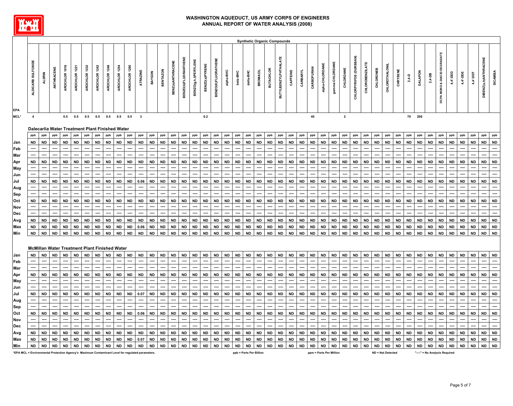

|                                                                                                  |                                                      |               |            |               |               |               |               |               |               |               |                         |           |                 |                   |                      |                      |                       |                     |           |                         |           | <b>Synthetic Organic Compounds</b> |                  |                             |                          |           |                         |                 |                 |                |                        |                        |                  |                        |               |           |                |                              |                              |            |            |            |                              |                          |
|--------------------------------------------------------------------------------------------------|------------------------------------------------------|---------------|------------|---------------|---------------|---------------|---------------|---------------|---------------|---------------|-------------------------|-----------|-----------------|-------------------|----------------------|----------------------|-----------------------|---------------------|-----------|-------------------------|-----------|------------------------------------|------------------|-----------------------------|--------------------------|-----------|-------------------------|-----------------|-----------------|----------------|------------------------|------------------------|------------------|------------------------|---------------|-----------|----------------|------------------------------|------------------------------|------------|------------|------------|------------------------------|--------------------------|
| EPA                                                                                              | ALDICARB SULFOXIDE                                   | <b>ALDRIN</b> | ANTHRACENE | AROCHLOR 1016 | AROCHLOR 1221 | AROCHLOR 1232 | AROCHLOR 1242 | AROCHLOR 1248 | AROCHLOR 1254 | AROCHLOR 1260 | ATRAZINE                | BAYGON    | <b>BENTAZON</b> | BENZ(a)ANTHRACENE | BENZO(b)FLUORANTHENE | BENZO(g,h,i)PERYLENE | <b>BENZO(a)PYRENE</b> | BENZO(K)FLUORATHENE | alpha-BHC | beta-BHC                | delta-BHC | <b>BROMACIL</b>                    | <b>BUTACHLOR</b> | <b>BUTYLBENZYLPHTHALATE</b> | CAFFEINE                 | CARBARYL  | CARBOFURAN              | alpha-CHLORDANE | gamma-CHLORDANE | CHLORDANE      | CHLORPYRIFOS (DURSBAN) | <b>CHLOROBENZILATE</b> | <b>CHLORONEB</b> | <b>CHLOROT HALONIL</b> | CHRYSENE      | $2,4-D$   | <b>DALAPON</b> | $2,4-DB$                     | DCPA MONO & DIACID DEGRADATE | 4,4'-DDD   | 4,4'-DDE   | 1,4'-DDT   | <b>DIBENZ(a,h)ANTHRACENE</b> | <b>DICAMBA</b>           |
| MCL*                                                                                             | $\overline{4}$                                       |               |            | 0.5           | 0.5           | 0.5           | 0.5           | 0.5           | 0.5           | 0.5           | $\overline{\mathbf{3}}$ |           |                 |                   |                      |                      | 0.2                   |                     |           |                         |           |                                    |                  |                             |                          |           | 40                      |                 |                 | $\overline{2}$ |                        |                        |                  |                        |               | 70        | 200            |                              |                              |            |            |            |                              |                          |
|                                                                                                  | Dalecarlia Water Treatment Plant Finished Water      |               |            |               |               |               |               |               |               |               |                         |           |                 |                   |                      |                      |                       |                     |           |                         |           |                                    |                  |                             |                          |           |                         |                 |                 |                |                        |                        |                  |                        |               |           |                |                              |                              |            |            |            |                              |                          |
|                                                                                                  | ppb                                                  | ppb           | ppb        | ppb           | ppb           | ppb           | ppb           | ppb           | ppb           | ppb           | ppb                     | ppb       | ppb             | ppb               | ppb                  | ppb                  | ppb                   | ppb                 | ppb       | ppb                     | ppb       | ppb                                | ppb              | ppb                         | ppb                      | ppb       | ppb                     | ppb             | ppb             | ppb            | ppb                    | ppb                    | ppb              | ppb                    | ppb           | ppb       | ppb            | ppb                          | ppb                          | ppb        | ppb        | ppb        | ppb                          | ppb                      |
| Jan                                                                                              | ND                                                   | <b>ND</b>     | <b>ND</b>  | <b>ND</b>     | <b>ND</b>     | <b>ND</b>     | <b>ND</b>     | <b>ND</b>     | ${\sf ND}$    | <b>ND</b>     | <b>ND</b>               | <b>ND</b> | <b>ND</b>       | <b>ND</b>         | <b>ND</b>            | <b>ND</b>            | <b>ND</b>             | <b>ND</b>           | <b>ND</b> | <b>ND</b>               | <b>ND</b> | <b>ND</b>                          | <b>ND</b>        | <b>ND</b>                   | <b>ND</b>                | <b>ND</b> | <b>ND</b>               | <b>ND</b>       | <b>ND</b>       | <b>ND</b>      | <b>ND</b>              | <b>ND</b>              | <b>ND</b>        | <b>ND</b>              | <b>ND</b>     | <b>ND</b> | <b>ND</b>      | <b>ND</b>                    | <b>ND</b>                    | <b>ND</b>  | <b>ND</b>  | <b>ND</b>  | <b>ND</b>                    | <b>ND</b>                |
| Feb                                                                                              |                                                      |               |            |               |               |               |               |               |               |               |                         |           |                 |                   |                      |                      |                       |                     |           |                         |           |                                    |                  |                             |                          |           |                         |                 |                 |                |                        |                        |                  |                        |               |           |                |                              |                              |            |            |            |                              | ----                     |
| Mar                                                                                              |                                                      |               |            |               |               |               |               |               |               |               |                         |           |                 |                   |                      |                      |                       |                     |           |                         |           |                                    |                  |                             |                          |           |                         |                 |                 |                |                        |                        |                  |                        |               |           |                |                              |                              |            |            |            |                              |                          |
| Apr                                                                                              | <b>ND</b>                                            | <b>ND</b>     | <b>ND</b>  | ND            | <b>ND</b>     | <b>ND</b>     | <b>ND</b>     | <b>ND</b>     | <b>ND</b>     | <b>ND</b>     | <b>ND</b>               | <b>ND</b> | <b>ND</b>       | <b>ND</b>         | <b>ND</b>            | <b>ND</b>            | <b>ND</b>             | ND                  | <b>ND</b> | <b>ND</b>               | <b>ND</b> | <b>ND</b>                          | <b>ND</b>        | <b>ND</b>                   | <b>ND</b>                | <b>ND</b> | <b>ND</b>               | <b>ND</b>       | <b>ND</b>       | <b>ND</b>      | <b>ND</b>              | <b>ND</b>              | <b>ND</b>        | <b>ND</b>              | <b>ND</b>     | <b>ND</b> | <b>ND</b>      | <b>ND</b>                    | <b>ND</b>                    | <b>ND</b>  | <b>ND</b>  | <b>ND</b>  | <b>ND</b>                    | <b>ND</b>                |
| May                                                                                              | ----                                                 |               | ---        |               |               | ----          | ----          |               | ----          | ----          |                         | ----      | ----            |                   | ---                  | ----                 |                       | ----                | ----      |                         | ----      | ----                               |                  | ----                        | ----                     | ----      | ----                    |                 | ---             | ----           | ---                    | ---                    | ----             |                        | ----          | ----      |                | ----                         |                              |            | ---        | ----       | ----                         |                          |
| Jun                                                                                              | ----                                                 | ----          | ----       | ----          | ----          | ----          | ----          | ----          | ----          | ----          | ----                    | ----      | ----            | ----              | ----                 | ---                  | ----                  | ----                | ----      | ----                    | ----      | ----                               | ----             | ----                        | ----                     | ----      | ----                    |                 | ---             | ----           | ----                   | ----                   | ----             | ----                   | ----          | ----      | ----           | ----                         | ----                         | ----       | ---        | ----       | ----                         |                          |
| Jul                                                                                              | <b>ND</b>                                            | <b>ND</b>     | <b>ND</b>  | <b>ND</b>     | <b>ND</b>     | <b>ND</b>     | <b>ND</b>     | <b>ND</b>     | <b>ND</b>     | <b>ND</b>     | 0.06                    | <b>ND</b> | <b>ND</b>       | <b>ND</b>         | <b>ND</b>            | <b>ND</b>            | <b>ND</b>             | <b>ND</b>           | <b>ND</b> | <b>ND</b>               | <b>ND</b> | <b>ND</b>                          | <b>ND</b>        | <b>ND</b>                   | <b>ND</b>                | <b>ND</b> | <b>ND</b>               | <b>ND</b>       | <b>ND</b>       | <b>ND</b>      | <b>ND</b>              | <b>ND</b>              | <b>ND</b>        | <b>ND</b>              | <b>ND</b>     | <b>ND</b> | <b>ND</b>      | <b>ND</b>                    | <b>ND</b>                    | <b>ND</b>  | <b>ND</b>  | <b>ND</b>  | <b>ND</b>                    | <b>ND</b>                |
| Aug                                                                                              | ----                                                 | ----          | ---        |               | ----          |               | ----          | ---           | ----          | ----          | ----                    | ----      | ----            | ----              | ----                 | ----                 | ---                   | ----                | ----      | ----                    | ----      | ----                               | ----             | ----                        | $\overline{\phantom{a}}$ | ----      | ----                    | ----            | ----            | ----           | ----                   | ----                   | ----             |                        | ----          | ----      | ----           | ----                         |                              | ----       | ----       | ----       | ----                         |                          |
| Sep                                                                                              | ----                                                 | ----          | ----       | ----          | ----          | ----          | ----          | ----          | ----          | ----          | ----                    | ----      | ----            | ----              | ----                 | ----                 | ----                  | ----                | ----      | ----                    | ----      | ----                               | ----             | ----                        | ----                     | ----      | ----                    | ----            | ----            | ----           | ----                   | ----                   | ----             | ----                   | ----          | ----      | ----           | ----                         | ----                         | ----       | ----       | ----       | ----                         | L.                       |
| Oct                                                                                              | <b>ND</b>                                            | <b>ND</b>     | <b>ND</b>  | <b>ND</b>     | <b>ND</b>     | <b>ND</b>     | <b>ND</b>     | <b>ND</b>     | <b>ND</b>     | <b>ND</b>     | <b>ND</b>               | <b>ND</b> | ${\sf ND}$      | <b>ND</b>         | <b>ND</b>            | <b>ND</b>            | <b>ND</b>             | <b>ND</b>           | <b>ND</b> | <b>ND</b>               | <b>ND</b> | <b>ND</b>                          | <b>ND</b>        | <b>ND</b>                   | <b>ND</b>                | <b>ND</b> | <b>ND</b>               | <b>ND</b>       | <b>ND</b>       | <b>ND</b>      | <b>ND</b>              | <b>ND</b>              | <b>ND</b>        | <b>ND</b>              | <b>ND</b>     | <b>ND</b> | <b>ND</b>      | <b>ND</b>                    | <b>ND</b>                    | <b>ND</b>  | <b>ND</b>  | <b>ND</b>  | <b>ND</b>                    | <b>ND</b>                |
| Nov                                                                                              | ----                                                 |               |            | ----          |               |               | ----          | ----          | ----          | ----          | ----                    | ----      | ----            |                   |                      | ----                 | ----                  | ----                | ----      |                         |           | ----                               | ----             | ----                        | ----                     | ----      | ----                    |                 |                 | ----           |                        | ----                   | ----             |                        |               | ----      | ----           |                              |                              |            |            | ----       | ---                          | ----                     |
| Dec                                                                                              | ----                                                 | ----          | ----       | ----          | ----          | ----          | ----          | ----          | ----          | ----          | ----                    | ----      | ----            | ----              | ----                 | ---                  | ----                  | ----                | ----      | ----                    | ----      | ----                               | ----             | ----                        | ----                     | ----      | ----                    | ---             | ----            | ----           | ----                   | ----                   | ----             | ----                   | ----          | ----      | ----           | ----                         | ----                         | ----       | ----       | ---        | ----                         | $\overline{\phantom{a}}$ |
| Avg                                                                                              | <b>ND</b>                                            | <b>ND</b>     | $\sf ND$   | <b>ND</b>     | <b>ND</b>     | <b>ND</b>     | <b>ND</b>     | <b>ND</b>     | $\sf ND$      | ${\sf ND}$    | <b>ND</b>               | <b>ND</b> | $\sf ND$        | <b>ND</b>         | $\sf ND$             | <b>ND</b>            | <b>ND</b>             | <b>ND</b>           | <b>ND</b> | <b>ND</b>               | $\sf ND$  | <b>ND</b>                          | <b>ND</b>        | <b>ND</b>                   | $\sf ND$                 | <b>ND</b> | ${\sf ND}$              | ${\sf ND}$      | <b>ND</b>       | <b>ND</b>      | <b>ND</b>              | <b>ND</b>              | $\mathsf{ND}$    | <b>ND</b>              | $\mathsf{ND}$ | <b>ND</b> | <b>ND</b>      | $\mathsf{ND}$                | <b>ND</b>                    | $\sf ND$   | ${\sf ND}$ | ${\sf ND}$ | <b>ND</b>                    | <b>ND</b>                |
| Max                                                                                              | <b>ND</b>                                            | <b>ND</b>     | <b>ND</b>  | <b>ND</b>     | <b>ND</b>     | <b>ND</b>     | <b>ND</b>     | <b>ND</b>     | ${\sf ND}$    | <b>ND</b>     | 0.06                    | <b>ND</b> | <b>ND</b>       | <b>ND</b>         | <b>ND</b>            | <b>ND</b>            | <b>ND</b>             | <b>ND</b>           | <b>ND</b> | <b>ND</b>               | <b>ND</b> | <b>ND</b>                          | <b>ND</b>        | <b>ND</b>                   | <b>ND</b>                | <b>ND</b> | <b>ND</b>               | <b>ND</b>       | <b>ND</b>       | <b>ND</b>      | <b>ND</b>              | <b>ND</b>              | <b>ND</b>        | <b>ND</b>              | <b>ND</b>     | <b>ND</b> | <b>ND</b>      | <b>ND</b>                    | <b>ND</b>                    | <b>ND</b>  | <b>ND</b>  | <b>ND</b>  | <b>ND</b>                    | <b>ND</b>                |
| Min                                                                                              | <b>ND</b>                                            | <b>ND</b>     | <b>ND</b>  | <b>ND</b>     | <b>ND</b>     | <b>ND</b>     | <b>ND</b>     | <b>ND</b>     | <b>ND</b>     | <b>ND</b>     | <b>ND</b>               | <b>ND</b> | <b>ND</b>       | <b>ND</b>         | <b>ND</b>            | <b>ND</b>            | <b>ND</b>             | <b>ND</b>           | <b>ND</b> | <b>ND</b>               | <b>ND</b> | <b>ND</b>                          | <b>ND</b>        | <b>ND</b>                   | <b>ND</b>                | <b>ND</b> | <b>ND</b>               | ${\sf ND}$      | <b>ND</b>       | <b>ND</b>      | <b>ND</b>              | <b>ND</b>              | <b>ND</b>        | <b>ND</b>              | <b>ND</b>     | <b>ND</b> | <b>ND</b>      | <b>ND</b>                    | <b>ND</b>                    | <b>ND</b>  | <b>ND</b>  | <b>ND</b>  | <b>ND</b>                    | <b>ND</b>                |
|                                                                                                  |                                                      |               |            |               |               |               |               |               |               |               |                         |           |                 |                   |                      |                      |                       |                     |           |                         |           |                                    |                  |                             |                          |           |                         |                 |                 |                |                        |                        |                  |                        |               |           |                |                              |                              |            |            |            |                              |                          |
|                                                                                                  | <b>McMillan Water Treatment Plant Finished Water</b> |               |            |               |               |               |               |               |               |               |                         |           |                 |                   |                      |                      |                       |                     |           |                         |           |                                    |                  |                             |                          |           |                         |                 |                 |                |                        |                        |                  |                        |               |           |                |                              |                              |            |            |            |                              |                          |
| Jan                                                                                              | <b>ND</b>                                            | <b>ND</b>     | <b>ND</b>  | <b>ND</b>     | <b>ND</b>     | <b>ND</b>     | <b>ND</b>     | <b>ND</b>     | <b>ND</b>     | <b>ND</b>     | <b>ND</b>               | <b>ND</b> | <b>ND</b>       | <b>ND</b>         | <b>ND</b>            | <b>ND</b>            | <b>ND</b>             | <b>ND</b>           | <b>ND</b> | <b>ND</b>               | <b>ND</b> | <b>ND</b>                          | <b>ND</b>        | <b>ND</b>                   | <b>ND</b>                | <b>ND</b> | <b>ND</b>               | <b>ND</b>       | <b>ND</b>       | <b>ND</b>      | <b>ND</b>              | <b>ND</b>              | <b>ND</b>        | <b>ND</b>              | <b>ND</b>     | <b>ND</b> | <b>ND</b>      | <b>ND</b>                    | <b>ND</b>                    | <b>ND</b>  | <b>ND</b>  | <b>ND</b>  | <b>ND</b>                    | <b>ND</b>                |
| Feb                                                                                              |                                                      | ----          | ----       |               |               |               |               |               |               |               | ----                    | ----      | ----            | ----              | ----                 | ----                 | ---                   | ----                | ----      | ----                    | ----      | ----                               | ----             | ----                        | $\overline{\phantom{a}}$ | ----      | ---                     |                 | ----            | ----           | ----                   | ----                   |                  |                        | ----          | ----      | ----           | ----                         |                              | ----       | ----       | ----       | ----                         | ----                     |
| Mar                                                                                              |                                                      |               | ----       |               |               |               | ----          |               |               |               | ----                    | ----      | ----            |                   |                      |                      |                       |                     |           |                         | ----      | ----                               |                  | ----                        |                          | ----      | ---                     |                 |                 | ----           |                        | ----                   |                  |                        | ----          | ----      |                |                              |                              |            |            |            | ----                         | ----                     |
| Apr                                                                                              | ND                                                   | <b>ND</b>     | <b>ND</b>  | <b>ND</b>     | ND            | <b>ND</b>     | <b>ND</b>     | <b>ND</b>     | <b>ND</b>     | <b>ND</b>     | <b>ND</b>               | <b>ND</b> | <b>ND</b>       | <b>ND</b>         | <b>ND</b>            | <b>ND</b>            | <b>ND</b>             | <b>ND</b>           | <b>ND</b> | <b>ND</b>               | <b>ND</b> | <b>ND</b>                          | <b>ND</b>        | <b>ND</b>                   | <b>ND</b>                | <b>ND</b> | <b>ND</b>               | <b>ND</b>       | <b>ND</b>       | <b>ND</b>      | <b>ND</b>              | <b>ND</b>              | <b>ND</b>        | <b>ND</b>              | <b>ND</b>     | <b>ND</b> | <b>ND</b>      | <b>ND</b>                    | <b>ND</b>                    | <b>ND</b>  | <b>ND</b>  | <b>ND</b>  | <b>ND</b>                    | <b>ND</b>                |
| May                                                                                              |                                                      |               |            |               |               |               |               |               |               |               |                         |           |                 |                   |                      |                      |                       |                     |           |                         |           |                                    |                  | ----                        |                          | ----      |                         |                 |                 |                |                        |                        |                  |                        |               |           |                |                              |                              |            |            |            | ----                         | ----                     |
| Jun                                                                                              |                                                      |               |            |               |               |               |               |               |               |               |                         |           |                 |                   |                      |                      |                       |                     |           |                         |           |                                    |                  |                             |                          |           |                         |                 |                 |                |                        |                        |                  |                        |               |           |                |                              |                              |            |            |            |                              |                          |
| Jul                                                                                              | <b>ND</b>                                            | <b>ND</b>     | <b>ND</b>  | ND            | <b>ND</b>     | <b>ND</b>     | <b>ND</b>     | <b>ND</b>     | <b>ND</b>     | ND            | 0.07                    | <b>ND</b> | <b>ND</b>       | <b>ND</b>         | <b>ND</b>            | <b>ND</b>            | <b>ND</b>             | <b>ND</b>           | <b>ND</b> | <b>ND</b>               | <b>ND</b> | <b>ND</b>                          | <b>ND</b>        | <b>ND</b>                   | <b>ND</b>                | <b>ND</b> | <b>ND</b>               | <b>ND</b>       | <b>ND</b>       | <b>ND</b>      | <b>ND</b>              | <b>ND</b>              | <b>ND</b>        | <b>ND</b>              | <b>ND</b>     | <b>ND</b> | <b>ND</b>      | <b>ND</b>                    | <b>ND</b>                    | <b>ND</b>  | <b>ND</b>  | <b>ND</b>  | <b>ND</b>                    | <b>ND</b>                |
|                                                                                                  | ----                                                 |               | ----       | ----          | ----          | ----          | ----          | ---           | ----          | ----          | ----                    | ----      | ----            | ----              | ----                 | ----                 | ---                   | ----                | ----      | ----                    | ----      | ----                               | ----             | ----                        | ----                     | ----      | ----                    | ---             | ---             | ----           | ----                   | ----                   | ----             | ---                    | ----          | ----      | ----           | ----                         | ----                         | ----       | ----       | ----       | ----                         | ----                     |
| Aug                                                                                              | ----                                                 |               | ----       |               |               |               | ----          | ----          | ----          | ----          | ----                    | ----      | ----            |                   | <u></u>              | ----                 | ----                  | ----                | ----      | ----                    | ----      | ----                               | ----             | ----                        | ----                     | ----      | ----                    |                 | ----            | ----           | ----                   | ----                   | ----             |                        | ----          | ----      | ----           | ----                         |                              | ----       |            |            | ----                         | ----                     |
| Sep<br>Oct                                                                                       | ND                                                   | <b>ND</b>     | <b>ND</b>  | <b>ND</b>     | <b>ND</b>     | <b>ND</b>     | <b>ND</b>     | <b>ND</b>     | <b>ND</b>     | <b>ND</b>     | 0.06                    | <b>ND</b> | <b>ND</b>       | <b>ND</b>         | <b>ND</b>            | <b>ND</b>            | <b>ND</b>             | <b>ND</b>           | <b>ND</b> | <b>ND</b>               | <b>ND</b> | <b>ND</b>                          | <b>ND</b>        | <b>ND</b>                   | <b>ND</b>                | <b>ND</b> | <b>ND</b>               | <b>ND</b>       | <b>ND</b>       | <b>ND</b>      | <b>ND</b>              | <b>ND</b>              | <b>ND</b>        | <b>ND</b>              | <b>ND</b>     | <b>ND</b> | <b>ND</b>      | <b>ND</b>                    | <b>ND</b>                    | <b>ND</b>  | <b>ND</b>  | <b>ND</b>  | <b>ND</b>                    | <b>ND</b>                |
| Nov                                                                                              | ----                                                 | ----          | ----       | ----          | ----          | ----          | ----          | ----          | ----          | ----          | ----                    | ----      | ----            | ----              | ----                 | ----                 | ----                  | ----                | ----      | ----                    | ----      | ----                               | ----             | ----                        | ----                     | ----      | ----                    | ----            | ----            | ----           | ----                   | ----                   | ----             | ----                   | ----          | ----      | ----           | ----                         | ----                         | ----       | ----       | ----       | ----                         | $\overline{\phantom{a}}$ |
| Dec                                                                                              | ----                                                 | ----          | ----       | ---           | ----          | ----          | ----          | ----          | ----          | ----          | ----                    | ----      | ----            | ----              | ----                 | ----                 | ----                  | ----                | ----      | ----                    | ----      | ----                               | ----             | ----                        | ----                     | ----      | ----                    | ----            | ----            | ----           | ----                   | ----                   | ----             | ----                   | ----          | ----      | ----           | ----                         | ----                         | ----       | ----       | ---        | ---                          | $\overline{\phantom{a}}$ |
| Avg                                                                                              | <b>ND</b>                                            | <b>ND</b>     | <b>ND</b>  | <b>ND</b>     | <b>ND</b>     | <b>ND</b>     | <b>ND</b>     | <b>ND</b>     | <b>ND</b>     | <b>ND</b>     | <b>ND</b>               | <b>ND</b> | <b>ND</b>       | <b>ND</b>         | <b>ND</b>            | <b>ND</b>            | <b>ND</b>             | <b>ND</b>           | <b>ND</b> | <b>ND</b>               | <b>ND</b> | <b>ND</b>                          | <b>ND</b>        | <b>ND</b>                   | <b>ND</b>                | <b>ND</b> | <b>ND</b>               | <b>ND</b>       | <b>ND</b>       | <b>ND</b>      | <b>ND</b>              | <b>ND</b>              | <b>ND</b>        | <b>ND</b>              | <b>ND</b>     | <b>ND</b> | <b>ND</b>      | <b>ND</b>                    | <b>ND</b>                    | <b>ND</b>  | <b>ND</b>  | <b>ND</b>  | <b>ND</b>                    | <b>ND</b>                |
| Max                                                                                              | <b>ND</b>                                            | <b>ND</b>     | <b>ND</b>  | <b>ND</b>     | <b>ND</b>     | <b>ND</b>     | <b>ND</b>     | <b>ND</b>     | ${\sf ND}$    | <b>ND</b>     | 0.07                    | <b>ND</b> | <b>ND</b>       | <b>ND</b>         | <b>ND</b>            | <b>ND</b>            | <b>ND</b>             | <b>ND</b>           | <b>ND</b> | <b>ND</b>               | <b>ND</b> | <b>ND</b>                          | <b>ND</b>        | <b>ND</b>                   | <b>ND</b>                | <b>ND</b> | <b>ND</b>               | <b>ND</b>       | <b>ND</b>       | <b>ND</b>      | <b>ND</b>              | <b>ND</b>              | <b>ND</b>        | <b>ND</b>              | <b>ND</b>     | <b>ND</b> | <b>ND</b>      | <b>ND</b>                    | <b>ND</b>                    | <b>ND</b>  | <b>ND</b>  | <b>ND</b>  | <b>ND</b>                    | <b>ND</b>                |
| Min                                                                                              | <b>ND</b>                                            | <b>ND</b>     | <b>ND</b>  | <b>ND</b>     | <b>ND</b>     | <b>ND</b>     | <b>ND</b>     | <b>ND</b>     | <b>ND</b>     | <b>ND</b>     | <b>ND</b>               | <b>ND</b> | $\sf ND$        | <b>ND</b>         | <b>ND</b>            | <b>ND</b>            | <b>ND</b>             | <b>ND</b>           | <b>ND</b> | <b>ND</b>               | <b>ND</b> | <b>ND</b>                          | <b>ND</b>        | <b>ND</b>                   | <b>ND</b>                | <b>ND</b> | <b>ND</b>               | <b>ND</b>       | <b>ND</b>       | <b>ND</b>      | <b>ND</b>              | <b>ND</b>              | <b>ND</b>        | <b>ND</b>              | <b>ND</b>     | <b>ND</b> | <b>ND</b>      | <b>ND</b>                    | <b>ND</b>                    | ${\sf ND}$ | <b>ND</b>  | <b>ND</b>  | <b>ND</b>                    | <b>ND</b>                |
| *EPA MCL = Environmental Protection Agency's Maximum Contaminant Level for regulated parameters. |                                                      |               |            |               |               |               |               |               |               |               |                         |           |                 |                   |                      |                      |                       |                     |           | ppb = Parts Per Billion |           |                                    |                  |                             |                          |           | ppm = Parts Per Million |                 |                 |                |                        |                        |                  | ND = Not Detected      |               |           |                | "---" = No Analysis Required |                              |            |            |            |                              |                          |

Page 5 of 7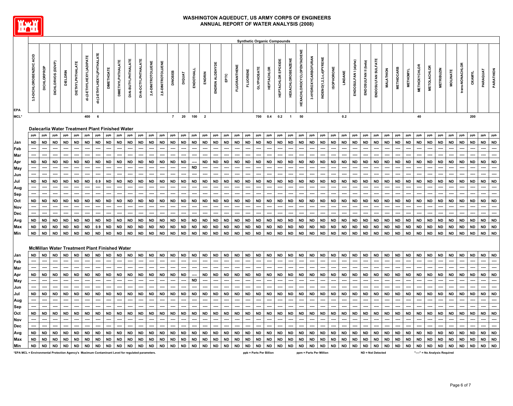

|                                                                                                 |                          |                    |                                                      |           |                   |                          |                            |                   |                          |                          |                            |                    |                             |                   |                  |               |                         |                   |                                            |                     |                          | <b>Synthetic Organic Compounds</b> |                   |                    |                          |                                  |                         |                         |                          |                   |                      |                      |                          |                   |                   |                   |                      |                    |                               |                   |                          |                          |                   |                                       |
|-------------------------------------------------------------------------------------------------|--------------------------|--------------------|------------------------------------------------------|-----------|-------------------|--------------------------|----------------------------|-------------------|--------------------------|--------------------------|----------------------------|--------------------|-----------------------------|-------------------|------------------|---------------|-------------------------|-------------------|--------------------------------------------|---------------------|--------------------------|------------------------------------|-------------------|--------------------|--------------------------|----------------------------------|-------------------------|-------------------------|--------------------------|-------------------|----------------------|----------------------|--------------------------|-------------------|-------------------|-------------------|----------------------|--------------------|-------------------------------|-------------------|--------------------------|--------------------------|-------------------|---------------------------------------|
|                                                                                                 | 3,5-DICHLOROBENZOIC ACID | <b>DICHLORPROP</b> | DICHLORVOS (DDVP)                                    | DIELDRIN  | DIETHYLPHTHALATE  | di-(2-ETHYLHEXYL)ADIPATE | di-(2-ETHYLHEXYL)PHTHALATE | <b>DIMETHOATE</b> | <b>DIMETHYLPHTHALATE</b> | DI-N-BUTYLPHTHALATE      | <b>DI-N-OCTYLPHTHALATE</b> | 2,4-DINITROTOLUENE | 2,6-DINITROTOLUENE          | <b>DINOSEB</b>    | DIQUAT           | ENDOTHALL     | ENDRIN                  | ENDRIN ALDEHYDE   | $\mathsf{E}\mathsf{P}\mathsf{T}\mathsf{C}$ | <b>FLUORANTHENE</b> | <b>FLUORENE</b>          | GLYPHOSATE                         | <b>HEPTACHLOR</b> | HEPTACHLOR EPOXIDE | <b>HEXACHLOROBENZENE</b> | <b>HEXACHLOROCYCLOPENTADIENE</b> | 3-HYDROXYCARBOFURAN     | INDENO(1,2,3,c,d)PYRENE | <b>ISOPHORONE</b>        | LINDANE           | ENDOSULFAN I (alpha) | ENDOSULFAN II (beta) | ENDOSULFAN SULFATE       | MALATHION         | <b>METHIOCARB</b> | <b>METHOMYL</b>   | <b>METHOXY CHLOR</b> | <b>METOLACHLOR</b> | <b>METRIBUZIN</b>             | <b>MOLINATE</b>   | trans-NONACHLOR          | <b>OXAMYL</b>            | PARAQUAT          | PARATHION                             |
| EPA<br><b>MCL*</b>                                                                              |                          |                    |                                                      |           |                   | 400                      | 6                          |                   |                          |                          |                            |                    |                             | $\overline{7}$    | 20               | 100           | $\overline{\mathbf{2}}$ |                   |                                            |                     |                          | 700                                | $0.4$ 0.2         |                    | $\overline{1}$           | 50                               |                         |                         |                          | 0.2               |                      |                      |                          |                   |                   |                   | 40                   |                    |                               |                   |                          | 200                      |                   |                                       |
|                                                                                                 |                          |                    |                                                      |           |                   |                          |                            |                   |                          |                          |                            |                    |                             |                   |                  |               |                         |                   |                                            |                     |                          |                                    |                   |                    |                          |                                  |                         |                         |                          |                   |                      |                      |                          |                   |                   |                   |                      |                    |                               |                   |                          |                          |                   |                                       |
|                                                                                                 |                          |                    | Dalecarlia Water Treatment Plant Finished Water      |           |                   |                          |                            |                   |                          |                          |                            |                    |                             |                   |                  |               |                         |                   |                                            |                     |                          |                                    |                   |                    |                          |                                  |                         |                         |                          |                   |                      |                      |                          |                   |                   |                   |                      |                    |                               |                   |                          |                          |                   |                                       |
|                                                                                                 | ppb                      | ppb                | ppb                                                  | ppb       | ppb               | ppb                      | ppb                        | ppb               | ppb                      | ppb                      | ppb                        | ppb                | ppb                         | ppb               | ppb              | ppb           | ppb                     | ppb               | ppb                                        | ppb                 | ppb                      | ppb                                | ppb               | ppb                | ppb                      | ppb                              | ppb                     | ppb                     | ppb                      | ppb               | ppb                  | ppb                  | ppb                      | ppb               | ppb               | ppb               | ppb                  | ppb                | ppb                           | ppb               | ppb                      | ppb                      | ppb               | ppb                                   |
| Jan<br>Feb                                                                                      | <b>ND</b>                | <b>ND</b><br>----  | <b>ND</b>                                            | <b>ND</b> | <b>ND</b><br>---- | <b>ND</b><br>----        | <b>ND</b><br>----          | <b>ND</b>         | <b>ND</b><br>----        | <b>ND</b><br>----        | <b>ND</b>                  | <b>ND</b><br>----  | <b>ND</b>                   | <b>ND</b><br>---- | <b>ND</b><br>--- | <b>ND</b>     | <b>ND</b>               | <b>ND</b><br>---- | <b>ND</b><br>----                          | <b>ND</b>           | <b>ND</b><br>----        | <b>ND</b><br>----                  | <b>ND</b><br>---- | <b>ND</b><br>----  | <b>ND</b><br>----        | <b>ND</b><br>----                | <b>ND</b><br>----       | <b>ND</b><br>----       | <b>ND</b>                | <b>ND</b><br>---- | <b>ND</b><br>----    | <b>ND</b><br>----    | <b>ND</b>                | <b>ND</b><br>---- | <b>ND</b><br>---- | <b>ND</b><br>---- | <b>ND</b><br>----    | <b>ND</b>          | <b>ND</b>                     | <b>ND</b><br>---- | <b>ND</b><br>----        | <b>ND</b><br>----        | <b>ND</b><br>---- | <b>ND</b><br>$\overline{\phantom{a}}$ |
| Mar                                                                                             |                          | ----               | ----                                                 | ----      | ---               | ----                     | ----                       |                   | ----                     | ----                     | ----                       | ----               |                             | ----              | ----             | ----          | ----                    | ----              |                                            | ----                | ----                     |                                    | ----              | ----               |                          | ----                             | ----                    | ----                    | ----                     | ----              | ----                 | ----                 |                          | ----              | ----              | ----              | ----                 | ----               | ----                          | ---               | ----                     | ----                     | ----              | ---                                   |
| Apr                                                                                             | <b>ND</b>                | <b>ND</b>          | <b>ND</b>                                            | <b>ND</b> | <b>ND</b>         | <b>ND</b>                | <b>ND</b>                  | <b>ND</b>         | <b>ND</b>                | <b>ND</b>                | <b>ND</b>                  | <b>ND</b>          | <b>ND</b>                   | <b>ND</b>         | <b>ND</b>        |               | <b>ND</b>               | <b>ND</b>         | <b>ND</b>                                  | <b>ND</b>           | <b>ND</b>                | <b>ND</b>                          | <b>ND</b>         | <b>ND</b>          | <b>ND</b>                | <b>ND</b>                        | <b>ND</b>               | <b>ND</b>               | <b>ND</b>                | <b>ND</b>         | <b>ND</b>            | <b>ND</b>            | <b>ND</b>                | <b>ND</b>         | <b>ND</b>         | <b>ND</b>         | <b>ND</b>            | <b>ND</b>          | <b>ND</b>                     | <b>ND</b>         | <b>ND</b>                | <b>ND</b>                | <b>ND</b>         | <b>ND</b>                             |
| May                                                                                             |                          |                    |                                                      |           |                   |                          |                            |                   |                          |                          |                            |                    |                             |                   | ----             | <b>ND</b>     |                         |                   |                                            |                     |                          |                                    |                   |                    |                          |                                  |                         |                         |                          |                   |                      |                      |                          |                   |                   |                   |                      |                    |                               |                   |                          |                          |                   | ш.                                    |
| Jun                                                                                             |                          | ----               | ----                                                 | ----      | ----              | ----                     | ----                       | ----              | ----                     |                          |                            | ----               | ----                        | ----              | ----             |               |                         | ----              | ----                                       | ----                | ----                     |                                    | ----              | ----               | ----                     | ----                             | ----                    | ----                    | ----                     | ----              | ----                 | ----                 | ----                     | ----              | ----              | ----              | ----                 | ----               | ----                          | ----              | ----                     | ----                     | ---               |                                       |
| Jul                                                                                             | <b>ND</b>                | <b>ND</b>          | <b>ND</b>                                            | <b>ND</b> | <b>ND</b>         | <b>ND</b>                | 0.9                        | <b>ND</b>         | <b>ND</b>                | <b>ND</b>                | <b>ND</b>                  | <b>ND</b>          | <b>ND</b>                   | <b>ND</b>         | <b>ND</b>        | <b>ND</b>     | <b>ND</b>               | <b>ND</b>         | <b>ND</b>                                  | <b>ND</b>           | <b>ND</b>                | <b>ND</b>                          | <b>ND</b>         | <b>ND</b>          | <b>ND</b>                | <b>ND</b>                        | <b>ND</b>               | <b>ND</b>               | <b>ND</b>                | <b>ND</b>         | <b>ND</b>            | <b>ND</b>            | <b>ND</b>                | <b>ND</b>         | <b>ND</b>         | <b>ND</b>         | <b>ND</b>            | <b>ND</b>          | <b>ND</b>                     | <b>ND</b>         | <b>ND</b>                | <b>ND</b>                | <b>ND</b>         | <b>ND</b>                             |
| Aug                                                                                             |                          |                    |                                                      |           |                   |                          | ----                       |                   |                          |                          |                            |                    |                             | ----              |                  |               | ----                    | ----              |                                            |                     |                          |                                    | ----              | ----               |                          | ----                             |                         |                         | ----                     |                   |                      | ----                 |                          |                   |                   |                   |                      |                    |                               |                   |                          | ---                      |                   | ----                                  |
| Sep                                                                                             |                          | ----               | ----                                                 | ----      | ----              | ----                     | ----                       | ----              |                          | ----                     | ----                       | ----               |                             | ----              | ----             | ----          | ----                    | ----              | ----                                       | ----                | ----                     | ----                               | ----              | ----               | ----                     | ----                             | ----                    | ----                    | ----                     | ----              | ----                 | ----                 | ----                     | ----              | ----              | ----              | ----                 | ----               | ----                          | ----              | ----                     | ----                     | ----              | ----                                  |
| Oct                                                                                             | ND                       | <b>ND</b>          | <b>ND</b>                                            | <b>ND</b> | <b>ND</b>         | <b>ND</b>                | <b>ND</b>                  | <b>ND</b>         | <b>ND</b>                | <b>ND</b>                | <b>ND</b>                  | <b>ND</b>          | <b>ND</b>                   | <b>ND</b>         | <b>ND</b>        | <b>ND</b>     | <b>ND</b>               | <b>ND</b>         | <b>ND</b>                                  | <b>ND</b>           | <b>ND</b>                | <b>ND</b>                          | <b>ND</b>         | <b>ND</b>          | <b>ND</b>                | <b>ND</b>                        | <b>ND</b>               | <b>ND</b>               | <b>ND</b>                | <b>ND</b>         | <b>ND</b>            | <b>ND</b>            | <b>ND</b>                | <b>ND</b>         | <b>ND</b>         | <b>ND</b>         | <b>ND</b>            | <b>ND</b>          | <b>ND</b>                     | <b>ND</b>         | <b>ND</b>                | <b>ND</b>                | <b>ND</b>         | <b>ND</b>                             |
| Nov                                                                                             |                          |                    |                                                      |           |                   |                          | ----                       |                   |                          |                          |                            |                    |                             |                   | ----             |               |                         | ----              |                                            |                     |                          |                                    | ----              |                    |                          |                                  |                         |                         |                          |                   |                      |                      |                          |                   |                   |                   |                      |                    |                               |                   |                          | ---                      |                   | ----                                  |
| Dec                                                                                             |                          |                    |                                                      |           |                   |                          |                            |                   |                          |                          |                            |                    |                             |                   |                  |               |                         | ----              |                                            |                     |                          |                                    |                   |                    |                          |                                  |                         |                         |                          |                   |                      |                      |                          |                   |                   |                   |                      |                    |                               |                   |                          |                          |                   | ----                                  |
| Avg                                                                                             | <b>ND</b>                | <b>ND</b>          | <b>ND</b>                                            | <b>ND</b> | <b>ND</b>         | <b>ND</b>                | <b>ND</b>                  | <b>ND</b>         | <b>ND</b>                | <b>ND</b>                | <b>ND</b>                  | <b>ND</b>          | <b>ND</b>                   | <b>ND</b>         | <b>ND</b>        | <b>ND</b>     | <b>ND</b>               | <b>ND</b>         | <b>ND</b>                                  | <b>ND</b>           | <b>ND</b>                | <b>ND</b>                          | <b>ND</b>         | <b>ND</b>          | <b>ND</b>                | <b>ND</b>                        | <b>ND</b>               | <b>ND</b>               | <b>ND</b>                | <b>ND</b>         | <b>ND</b>            | <b>ND</b>            | <b>ND</b>                | <b>ND</b>         | <b>ND</b>         | <b>ND</b>         | <b>ND</b>            | <b>ND</b>          | <b>ND</b>                     | <b>ND</b>         | <b>ND</b>                | <b>ND</b>                | ND                | <b>ND</b>                             |
| Max                                                                                             | <b>ND</b>                | <b>ND</b>          | <b>ND</b>                                            | <b>ND</b> | <b>ND</b>         | <b>ND</b>                | 0.9                        | <b>ND</b>         | <b>ND</b>                | <b>ND</b>                | <b>ND</b>                  | <b>ND</b>          | <b>ND</b>                   | <b>ND</b>         | <b>ND</b>        | $\mathsf{ND}$ | <b>ND</b>               | <b>ND</b>         | <b>ND</b>                                  | <b>ND</b>           | <b>ND</b>                | <b>ND</b>                          | <b>ND</b>         | <b>ND</b>          | <b>ND</b>                | <b>ND</b>                        | <b>ND</b>               | <b>ND</b>               | <b>ND</b>                | <b>ND</b>         | <b>ND</b>            | ${\sf ND}$           | <b>ND</b>                | <b>ND</b>         | <b>ND</b>         | <b>ND</b>         | <b>ND</b>            | <b>ND</b>          | <b>ND</b>                     | <b>ND</b>         | <b>ND</b>                | <b>ND</b>                | <b>ND</b>         | <b>ND</b>                             |
| Min                                                                                             | <b>ND</b>                | <b>ND</b>          | <b>ND</b>                                            | <b>ND</b> | <b>ND</b>         | <b>ND</b>                | <b>ND</b>                  | <b>ND</b>         | <b>ND</b>                | <b>ND</b>                | <b>ND</b>                  | <b>ND</b>          | $\overline{\phantom{a}}$ ND | <b>ND</b>         | <b>ND</b>        | <b>ND</b>     | <b>ND</b>               | <b>ND</b>         | ND                                         | <b>ND</b>           | ND                       | <b>ND</b>                          | <b>ND</b>         | <b>ND</b>          | <b>ND</b>                | <b>ND</b>                        | <b>ND</b>               | <b>ND</b>               | <b>ND</b>                | <b>ND</b>         | <b>ND</b>            | <b>ND</b>            | <b>ND</b>                | <b>ND</b>         | <b>ND</b>         | <b>ND</b>         | <b>ND</b>            | <b>ND</b>          | <b>ND</b>                     | <b>ND</b>         | <b>ND</b>                | <b>ND</b>                | ND   ND           |                                       |
|                                                                                                 |                          |                    | <b>McMillan Water Treatment Plant Finished Water</b> |           |                   |                          |                            |                   |                          |                          |                            |                    |                             |                   |                  |               |                         |                   |                                            |                     |                          |                                    |                   |                    |                          |                                  |                         |                         |                          |                   |                      |                      |                          |                   |                   |                   |                      |                    |                               |                   |                          |                          |                   |                                       |
|                                                                                                 | <b>ND</b>                | <b>ND</b>          | <b>ND</b>                                            | <b>ND</b> | <b>ND</b>         | <b>ND</b>                | <b>ND</b>                  | ND                | <b>ND</b>                | <b>ND</b>                | <b>ND</b>                  | <b>ND</b>          | <b>ND</b>                   | <b>ND</b>         | <b>ND</b>        | <b>ND</b>     | <b>ND</b>               | <b>ND</b>         | <b>ND</b>                                  | <b>ND</b>           | <b>ND</b>                | <b>ND</b>                          | <b>ND</b>         | <b>ND</b>          | <b>ND</b>                | <b>ND</b>                        | <b>ND</b>               | <b>ND</b>               | <b>ND</b>                | <b>ND</b>         | <b>ND</b>            | <b>ND</b>            | <b>ND</b>                | <b>ND</b>         | <b>ND</b>         | <b>ND</b>         | <b>ND</b>            | <b>ND</b>          | <b>ND</b>                     | <b>ND</b>         | <b>ND</b>                | <b>ND</b>                | <b>ND</b>         | <b>ND</b>                             |
| Jan<br>Feb                                                                                      |                          | ----               | ----                                                 | ----      | ----              | ----                     | ----                       | ----              | ----                     | ----                     | ---                        | ----               | ----                        | ----              | ----             | ----          | ----                    | ----              | ----                                       | ----                | ----                     | ----                               | ----              | ----               | ----                     | ----                             | ----                    | ----                    | ----                     | ----              | ----                 | ----                 | ----                     | ----              | ----              | ----              | ----                 | ----               | ----                          | ----              | ----                     | ----                     | ---               |                                       |
| Mar                                                                                             | ----                     | ----               | ----                                                 | ----      | ----              | ----                     | ----                       | ----              | $\overline{\phantom{a}}$ | $\overline{\phantom{a}}$ | ----                       |                    | $\overline{\phantom{a}}$    | ----              | ----             | ----          | ----                    | ----              | ----                                       | ----                | $\overline{\phantom{a}}$ | ----                               |                   | ----               | ----                     | $\overline{\phantom{a}}$         | ----                    | ----                    | ----                     | ----              | ----                 | ----                 | ----                     | ----              |                   | ----              | ----                 | ----               | ----                          | ----              | $\overline{\phantom{a}}$ | ----                     | ---               | $\overline{\phantom{a}}$              |
| Apr                                                                                             | ND                       | <b>ND</b>          | <b>ND</b>                                            | <b>ND</b> | <b>ND</b>         | <b>ND</b>                | <b>ND</b>                  | <b>ND</b>         | <b>ND</b>                | <b>ND</b>                | <b>ND</b>                  | <b>ND</b>          | <b>ND</b>                   | <b>ND</b>         | <b>ND</b>        |               | <b>ND</b>               | <b>ND</b>         | <b>ND</b>                                  | <b>ND</b>           | <b>ND</b>                | <b>ND</b>                          | <b>ND</b>         | <b>ND</b>          | <b>ND</b>                | <b>ND</b>                        | <b>ND</b>               | <b>ND</b>               | <b>ND</b>                | <b>ND</b>         | <b>ND</b>            | <b>ND</b>            | <b>ND</b>                | <b>ND</b>         | <b>ND</b>         | <b>ND</b>         | <b>ND</b>            | <b>ND</b>          | <b>ND</b>                     | <b>ND</b>         | <b>ND</b>                | <b>ND</b>                | <b>ND</b>         | <b>ND</b>                             |
| May                                                                                             | ----                     | ----               | $\overline{\phantom{a}}$                             | ----      | ----              | ----                     | ----                       | ----              | ----                     | ----                     | ----                       | ----               | ----                        | ----              | ----             | <b>ND</b>     | ----                    | ----              | ----                                       | ----                | ----                     | ----                               | ----              | ----               | ----                     | ----                             | ----                    | ----                    | $\overline{\phantom{a}}$ | ----              | ----                 | ----                 | ----                     | ----              | ----              | ----              | ----                 | ----               | ----                          | ----              | ----                     | $\overline{\phantom{a}}$ | ----              | ---                                   |
| Jun                                                                                             |                          |                    |                                                      |           |                   |                          |                            |                   |                          |                          |                            | ----               |                             | ----              | ----             |               |                         |                   |                                            | ----                |                          |                                    | ----              |                    |                          | ----                             | ----                    |                         |                          | ----              | ----                 |                      |                          |                   | ----              |                   |                      |                    |                               |                   |                          | $\overline{\phantom{a}}$ |                   |                                       |
| Jul                                                                                             | <b>ND</b>                | <b>ND</b>          | <b>ND</b>                                            | <b>ND</b> | <b>ND</b>         | <b>ND</b>                | <b>ND</b>                  | <b>ND</b>         | <b>ND</b>                | <b>ND</b>                | <b>ND</b>                  | <b>ND</b>          | <b>ND</b>                   | <b>ND</b>         | <b>ND</b>        | <b>ND</b>     | <b>ND</b>               | <b>ND</b>         | <b>ND</b>                                  | <b>ND</b>           | <b>ND</b>                | <b>ND</b>                          | <b>ND</b>         | <b>ND</b>          | <b>ND</b>                | <b>ND</b>                        | <b>ND</b>               | <b>ND</b>               | <b>ND</b>                | <b>ND</b>         | <b>ND</b>            | <b>ND</b>            | <b>ND</b>                | <b>ND</b>         | <b>ND</b>         | <b>ND</b>         | <b>ND</b>            | <b>ND</b>          | <b>ND</b>                     | <b>ND</b>         | <b>ND</b>                | <b>ND</b>                | <b>ND</b>         | <b>ND</b>                             |
| Aug                                                                                             |                          | ----               | ----                                                 | ----      | ----              | ----                     | ----                       | ----              | ----                     | ----                     | ----                       | ----               | ----                        | ----              | ----             | ----          | ----                    | ----              | ----                                       | ----                | ----                     | ----                               | ----              | ----               | ----                     | ----                             | ----                    | ----                    | ----                     | ----              | ----                 | ----                 | ----                     | ----              | ----              | ----              | ----                 | ----               | ----                          | ----              | ----                     | ----                     | ----              | ----                                  |
| Sep                                                                                             |                          |                    |                                                      |           |                   |                          |                            |                   |                          |                          |                            |                    |                             |                   |                  |               |                         |                   |                                            |                     |                          |                                    |                   |                    |                          |                                  |                         |                         |                          |                   |                      |                      |                          |                   |                   |                   |                      |                    |                               |                   |                          |                          |                   |                                       |
| Oct                                                                                             | <b>ND</b>                | <b>ND</b>          | <b>ND</b>                                            | <b>ND</b> | <b>ND</b>         | <b>ND</b>                | <b>ND</b>                  | <b>ND</b>         | <b>ND</b>                | <b>ND</b>                | <b>ND</b>                  | <b>ND</b>          | <b>ND</b>                   | <b>ND</b>         | <b>ND</b>        | <b>ND</b>     | <b>ND</b>               | <b>ND</b>         | <b>ND</b>                                  | <b>ND</b>           | <b>ND</b>                | <b>ND</b>                          | <b>ND</b>         | <b>ND</b>          | <b>ND</b>                | <b>ND</b>                        | <b>ND</b>               | <b>ND</b>               | <b>ND</b>                | <b>ND</b>         | <b>ND</b>            | <b>ND</b>            | <b>ND</b>                | <b>ND</b>         | <b>ND</b>         | <b>ND</b>         | <b>ND</b>            | <b>ND</b>          | <b>ND</b>                     | <b>ND</b>         | <b>ND</b>                | <b>ND</b>                | <b>ND</b>         | <b>ND</b>                             |
| Nov                                                                                             |                          |                    |                                                      |           |                   |                          |                            |                   |                          |                          |                            |                    |                             |                   |                  |               |                         |                   |                                            |                     |                          |                                    |                   |                    |                          |                                  |                         |                         |                          |                   |                      |                      |                          |                   |                   |                   |                      |                    |                               |                   |                          |                          |                   | ----                                  |
| Dec                                                                                             |                          | ----               |                                                      |           | ----              |                          | ----                       |                   |                          |                          |                            |                    |                             | ----              |                  |               | ----                    | ----              |                                            | ----                |                          |                                    | ----              |                    |                          | ----                             |                         | ----                    | ----                     |                   | ----                 | ----                 |                          |                   |                   |                   | ----                 |                    | ----                          | ----              |                          | ----                     | ----              | ----                                  |
| Avg                                                                                             | <b>ND</b>                | <b>ND</b>          | <b>ND</b>                                            | <b>ND</b> | <b>ND</b>         | <b>ND</b>                | <b>ND</b>                  | ND                | <b>ND</b>                | <b>ND</b>                | <b>ND</b>                  | <b>ND</b>          | <b>ND</b>                   | <b>ND</b>         | <b>ND</b>        | <b>ND</b>     | <b>ND</b>               | <b>ND</b>         | <b>ND</b>                                  | <b>ND</b>           | <b>ND</b>                | <b>ND</b>                          | <b>ND</b>         | <b>ND</b>          | <b>ND</b>                | <b>ND</b>                        | <b>ND</b>               | <b>ND</b>               | <b>ND</b>                | <b>ND</b>         | <b>ND</b>            | <b>ND</b>            | <b>ND</b>                | <b>ND</b>         | <b>ND</b>         | <b>ND</b>         | <b>ND</b>            | <b>ND</b>          | <b>ND</b>                     | <b>ND</b>         | <b>ND</b>                | <b>ND</b>                | ND                | <b>ND</b>                             |
| Max                                                                                             | <b>ND</b>                | ND                 | <b>ND</b>                                            | ND        | <b>ND</b>         | <b>ND</b>                | <b>ND</b>                  | <b>ND</b>         | <b>ND</b>                | <b>ND</b>                | <b>ND</b>                  | <b>ND</b>          | <b>ND</b>                   | <b>ND</b>         | <b>ND</b>        | <b>ND</b>     | <b>ND</b>               | <b>ND</b>         | <b>ND</b>                                  | <b>ND</b>           | <b>ND</b>                | <b>ND</b>                          | <b>ND</b>         | <b>ND</b>          | <b>ND</b>                | <b>ND</b>                        | <b>ND</b>               | <b>ND</b>               | <b>ND</b>                | <b>ND</b>         | <b>ND</b>            | <b>ND</b>            | <b>ND</b>                | <b>ND</b>         | <b>ND</b>         | <b>ND</b>         | <b>ND</b>            | <b>ND</b>          | <b>ND</b>                     | <b>ND</b>         | <b>ND</b>                | <b>ND</b>                | ND                | <b>ND</b>                             |
| Min                                                                                             | <b>ND</b>                |                    | ND ND                                                | <b>ND</b> | ND                | ND ND                    |                            |                   |                          | ND ND ND ND              |                            | ND ND              |                             | <b>ND</b>         | <b>ND</b>        | <b>ND</b>     | <b>ND</b>               | <b>ND</b>         | <b>ND</b>                                  | <b>ND</b>           | ND                       | <b>ND</b>                          | <b>ND</b>         | ND                 | <b>ND</b>                | <b>ND</b>                        | <b>ND</b>               | <b>ND</b>               | <b>ND</b>                | <b>ND</b>         | <b>ND</b>            | <b>ND</b>            | <b>ND</b>                | <b>ND</b>         | <b>ND</b>         | <b>ND</b>         | <b>ND</b>            | <b>ND</b>          | <b>ND</b>                     | <b>ND</b>         | <b>ND</b>                | <b>ND</b>                | ND ND             |                                       |
| EPA MCL = Environmental Protection Agency's Maximum Contaminant Level for regulated parameters* |                          |                    |                                                      |           |                   |                          |                            |                   |                          |                          |                            |                    |                             |                   |                  |               |                         |                   |                                            |                     |                          | ppb = Parts Per Billion            |                   |                    |                          |                                  | ppm = Parts Per Million |                         |                          |                   |                      |                      | <b>ND = Not Detected</b> |                   |                   |                   |                      |                    | "----" = No Analysis Required |                   |                          |                          |                   |                                       |